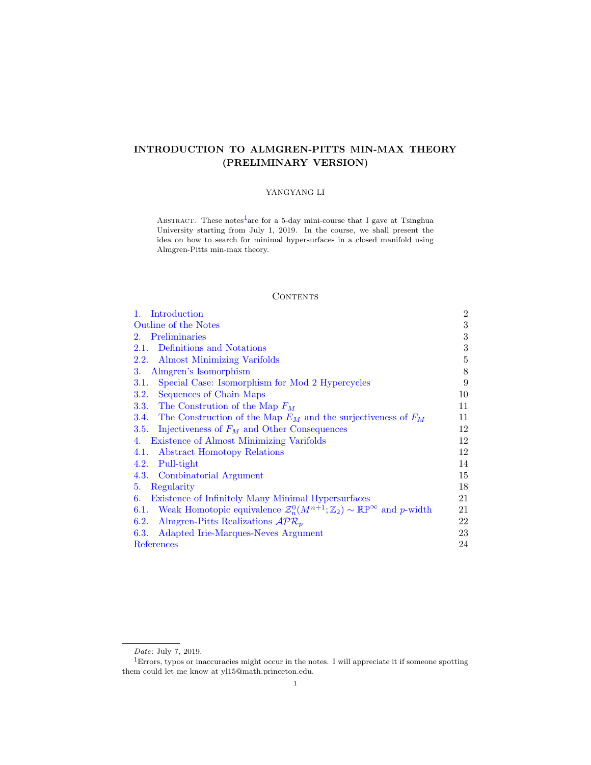# INTRODUCTION TO ALMGREN-PITTS MIN-MAX THEORY (PRELIMINARY VERSION)

# YANGYANG LI

ABSTRACT. These notes<sup>[1](#page-0-0)</sup>are for a 5-day mini-course that I gave at Tsinghua University starting from July 1, 2019. In the course, we shall present the idea on how to search for minimal hypersurfaces in a closed manifold using Almgren-Pitts min-max theory.

## **CONTENTS**

| 1. Introduction                                                                                               | $\boldsymbol{2}$ |
|---------------------------------------------------------------------------------------------------------------|------------------|
| Outline of the Notes                                                                                          | 3                |
| Preliminaries<br>2.                                                                                           | 3                |
| Definitions and Notations<br>2.1.                                                                             | 3                |
| Almost Minimizing Varifolds<br>2.2.                                                                           | $\bf 5$          |
| Almgren's Isomorphism<br>3.                                                                                   | 8                |
| Special Case: Isomorphism for Mod 2 Hypercycles<br>3.1.                                                       | 9                |
| 3.2. Sequences of Chain Maps                                                                                  | 10               |
| 3.3. The Constrution of the Map $F_M$                                                                         | 11               |
| 3.4. The Construction of the Map $E_M$ and the surjectiveness of $F_M$                                        | 11               |
| Injectiveness of $F_M$ and Other Consequences<br>3.5.                                                         | 12               |
| Existence of Almost Minimizing Varifolds<br>4.                                                                | 12               |
| <b>Abstract Homotopy Relations</b><br>4.1.                                                                    | 12               |
| Pull-tight<br>4.2.                                                                                            | 14               |
| 4.3. Combinatorial Argument                                                                                   | 15               |
| Regularity<br>5.                                                                                              | 18               |
| Existence of Infinitely Many Minimal Hypersurfaces<br>6.                                                      | 21               |
| 6.1. Weak Homotopic equivalence $\mathcal{Z}_n^0(M^{n+1};\mathbb{Z}_2) \sim \mathbb{RP}^{\infty}$ and p-width | 21               |
| Almgren-Pitts Realizations $\mathcal{APR}_{p}$<br>6.2.                                                        | 22               |
| Adapted Irie-Marques-Neves Argument<br>6.3.                                                                   | 23               |
| References                                                                                                    | 24               |

<span id="page-0-0"></span>Date: July 7, 2019.

 $^1\rm{Errors},$  typos or inaccuracies might occur in the notes. I will appreciate it if someone spotting them could let me know at yl15@math.princeton.edu.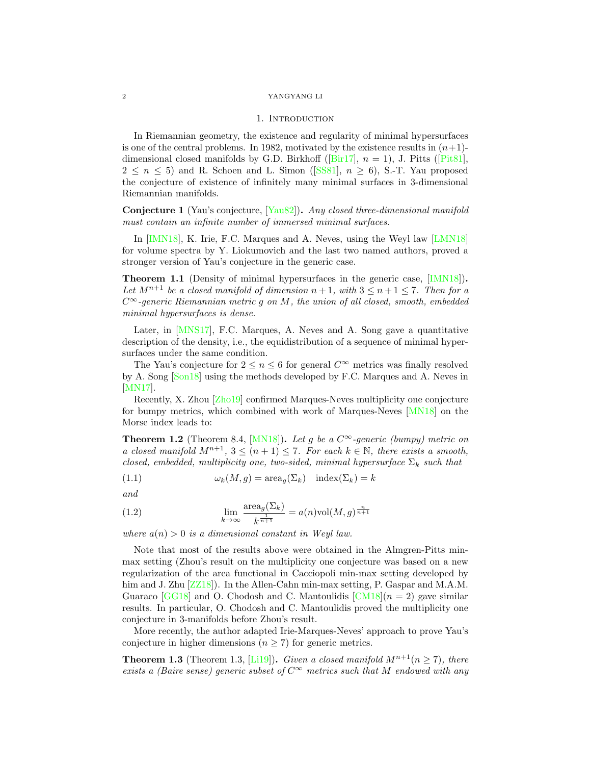### 1. INTRODUCTION

<span id="page-1-0"></span>In Riemannian geometry, the existence and regularity of minimal hypersurfaces is one of the central problems. In 1982, motivated by the existence results in  $(n+1)$ -dimensionalclosed manifolds by G.D. Birkhoff ([\[Bir17\]](#page-23-1),  $n = 1$ ), J. Pitts ([\[Pit81\]](#page-23-2),  $2 \leq n \leq 5$  $2 \leq n \leq 5$  $2 \leq n \leq 5$  and R. Schoen and L. Simon ([\[SS81\]](#page-24-0),  $n \geq 6$ ), S.-T. Yau proposed the conjecture of existence of infinitely many minimal surfaces in 3-dimensional Riemannian manifolds.

Conjecture 1 (Yau's conjecture, [\[Yau82\]](#page-24-1)). Any closed three-dimensional manifold must contain an infinite number of immersed minimal surfaces.

In [\[IMN18\]](#page-23-3), K. Irie, F.C. Marques and A. Neves, using the Weyl law [\[LMN18\]](#page-23-4) for volume spectra by Y. Liokumovich and the last two named authors, proved a stronger version of Yau's conjecture in the generic case.

Theorem 1.1 (Density of minimal hypersurfaces in the generic case, [\[IMN18\]](#page-23-3)). Let  $M^{n+1}$  be a closed manifold of dimension  $n+1$ , with  $3 \leq n+1 \leq 7$ . Then for a  $C^{\infty}$ -generic Riemannian metric g on M, the union of all closed, smooth, embedded minimal hypersurfaces is dense.

Later, in [\[MNS17\]](#page-23-5), F.C. Marques, A. Neves and A. Song gave a quantitative description of the density, i.e., the equidistribution of a sequence of minimal hypersurfaces under the same condition.

The Yau's conjecture for  $2 \leq n \leq 6$  for general  $C^{\infty}$  metrics was finally resolved by A. Song [\[Son18\]](#page-24-2) using the methods developed by F.C. Marques and A. Neves in [\[MN17\]](#page-23-6).

Recently, X. Zhou [\[Zho19\]](#page-24-3) confirmed Marques-Neves multiplicity one conjecture for bumpy metrics, which combined with work of Marques-Neves [\[MN18\]](#page-23-7) on the Morse index leads to:

**Theorem 1.2** (Theorem 8.4, [\[MN18\]](#page-23-7)). Let g be a  $C^{\infty}$ -generic (bumpy) metric on a closed manifold  $M^{n+1}$ ,  $3 \leq (n+1) \leq 7$ . For each  $k \in \mathbb{N}$ , there exists a smooth, closed, embedded, multiplicity one, two-sided, minimal hypersurface  $\Sigma_k$  such that

(1.1) 
$$
\omega_k(M,g) = \operatorname{area}_g(\Sigma_k) \quad \operatorname{index}(\Sigma_k) = k
$$

and

(1.2) 
$$
\lim_{k \to \infty} \frac{\text{area}_{g}(\Sigma_{k})}{k^{\frac{1}{n+1}}} = a(n) \text{vol}(M, g)^{\frac{n}{n+1}}
$$

where  $a(n) > 0$  is a dimensional constant in Weyl law.

Note that most of the results above were obtained in the Almgren-Pitts minmax setting (Zhou's result on the multiplicity one conjecture was based on a new regularization of the area functional in Cacciopoli min-max setting developed by him and J. Zhu  $[ZZ18]$ . In the Allen-Cahn min-max setting, P. Gaspar and M.A.M. Guaraco [\[GG18\]](#page-23-8) and O. Chodosh and C. Mantoulidis  $\lfloor CM18 \rfloor$  ( $n = 2$ ) gave similar results. In particular, O. Chodosh and C. Mantoulidis proved the multiplicity one conjecture in 3-manifolds before Zhou's result.

More recently, the author adapted Irie-Marques-Neves' approach to prove Yau's conjecture in higher dimensions ( $n \geq 7$ ) for generic metrics.

**Theorem 1.3** (Theorem 1.3, [\[Li19\]](#page-23-10)). Given a closed manifold  $M^{n+1}(n \ge 7)$ , there exists a (Baire sense) generic subset of  $C^{\infty}$  metrics such that M endowed with any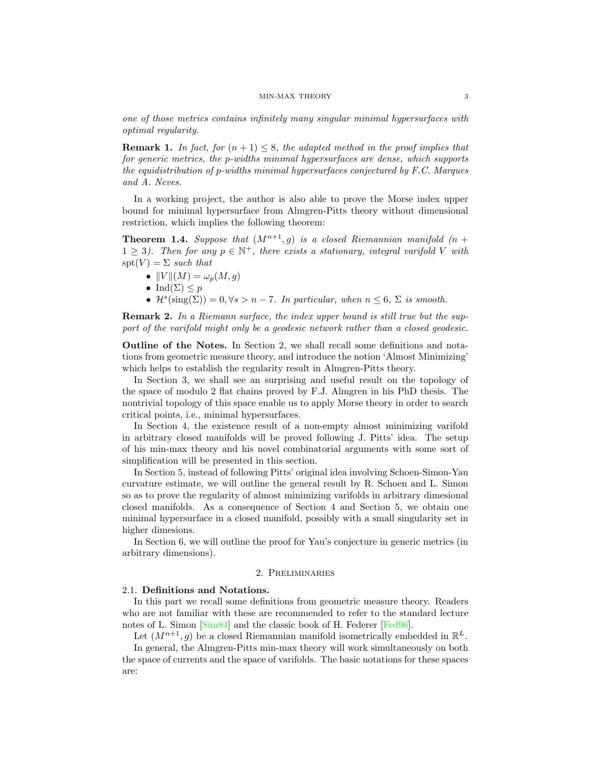one of those metrics contains infinitely many singular minimal hypersurfaces with optimal regularity.

**Remark 1.** In fact, for  $(n + 1) \leq 8$ , the adapted method in the proof implies that for generic metrics, the p-widths minimal hypersurfaces are dense, which supports the equidistribution of p-widths minimal hypersurfaces conjectured by F.C. Marques and A. Neves.

In a working project, the author is also able to prove the Morse index upper bound for minimal hypersurface from Almgren-Pitts theory without dimensional restriction, which implies the following theorem:

**Theorem 1.4.** Suppose that  $(M^{n+1}, g)$  is a closed Riemannian manifold  $(n +$  $1 \geq 3$ ). Then for any  $p \in \mathbb{N}^+$ , there exists a stationary, integral varifold V with  $spt(V) = \Sigma$  such that

- $||V||(M) = \omega_p(M, g)$
- Ind $(\Sigma) \leq p$
- $\mathcal{H}^s(\text{sing}(\Sigma)) = 0, \forall s > n-7$ . In particular, when  $n \leq 6$ ,  $\Sigma$  is smooth.

**Remark 2.** In a Riemann surface, the index upper bound is still true but the support of the varifold might only be a geodesic network rather than a closed geodesic.

<span id="page-2-0"></span>Outline of the Notes. In Section 2, we shall recall some definitions and notations from geometric measure theory, and introduce the notion 'Almost Minimizing' which helps to establish the regularity result in Almgren-Pitts theory.

In Section 3, we shall see an surprising and useful result on the topology of the space of modulo 2 flat chains proved by F.J. Almgren in his PhD thesis. The nontrivial topology of this space enable us to apply Morse theory in order to search critical points, i.e., minimal hypersurfaces.

In Section 4, the existence result of a non-empty almost minimizing varifold in arbitrary closed manifolds will be proved following J. Pitts' idea. The setup of his min-max theory and his novel combinatorial arguments with some sort of simplification will be presented in this section.

In Section 5, instead of following Pitts' original idea involving Schoen-Simon-Yau curvature estimate, we will outline the general result by R. Schoen and L. Simon so as to prove the regularity of almost minimizing varifolds in arbitrary dimesional closed manifolds. As a consequence of Section 4 and Section 5, we obtain one minimal hypersurface in a closed manifold, possibly with a small singularity set in higher dimesions.

In Section 6, we will outline the proof for Yau's conjecture in generic metrics (in arbitrary dimensions).

## 2. Preliminaries

## <span id="page-2-2"></span><span id="page-2-1"></span>2.1. Definitions and Notations.

In this part we recall some definitions from geometric measure theory. Readers who are not familiar with these are recommended to refer to the standard lecture notes of L. Simon [\[Sim84\]](#page-24-5) and the classic book of H. Federer [\[Fed96\]](#page-23-11).

Let  $(M^{n+1}, g)$  be a closed Riemannian manifold isometrically embedded in  $\mathbb{R}^L$ .

In general, the Almgren-Pitts min-max theory will work simultaneously on both the space of currents and the space of varifolds. The basic notations for these spaces are: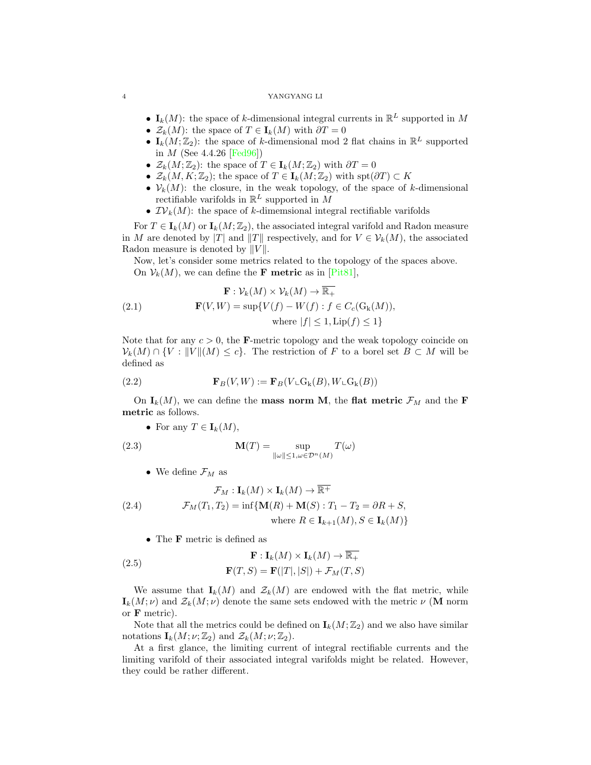- $I_k(M)$ : the space of k-dimensional integral currents in  $\mathbb{R}^L$  supported in M
- $\mathcal{Z}_k(M)$ : the space of  $T \in I_k(M)$  with  $\partial T = 0$
- $I_k(M; \mathbb{Z}_2)$ : the space of k-dimensional mod 2 flat chains in  $\mathbb{R}^L$  supported in *M* (See  $4.4.26$  [\[Fed96\]](#page-23-11))
- $\mathcal{Z}_k(M; \mathbb{Z}_2)$ : the space of  $T \in I_k(M; \mathbb{Z}_2)$  with  $\partial T = 0$
- $\mathcal{Z}_k(M,K;\mathbb{Z}_2)$ ; the space of  $T \in I_k(M;\mathbb{Z}_2)$  with  $\text{spt}(\partial T) \subset K$
- $V_k(M)$ : the closure, in the weak topology, of the space of k-dimensional rectifiable varifolds in  $\mathbb{R}^L$  supported in M
- $\mathcal{IV}_k(M)$ : the space of k-dimemsional integral rectifiable varifolds

For  $T \in I_k(M)$  or  $I_k(M; \mathbb{Z}_2)$ , the associated integral varifold and Radon measure in M are denoted by |T| and ||T|| respectively, and for  $V \in \mathcal{V}_k(M)$ , the associated Radon measure is denoted by  $||V||$ .

Now, let's consider some metrics related to the topology of the spaces above. On  $\mathcal{V}_k(M)$ , we can define the **F** metric as in  $[P<sub>it81</sub>]$ ,

(2.1) 
$$
\mathbf{F}: \mathcal{V}_k(M) \times \mathcal{V}_k(M) \to \overline{\mathbb{R}_+} \n\mathbf{F}(V,W) = \sup \{ V(f) - W(f) : f \in C_c(\mathcal{G}_k(M)), \n\text{where } |f| \le 1, \text{Lip}(f) \le 1 \}
$$

Note that for any  $c > 0$ , the **F**-metric topology and the weak topology coincide on  $\mathcal{V}_k(M) \cap \{V : ||V||(M) \leq c\}.$  The restriction of F to a borel set  $B \subset M$  will be defined as

(2.2) 
$$
\mathbf{F}_B(V, W) := \mathbf{F}_B(V \mathcal{L} \mathbf{G}_k(B), W \mathcal{L} \mathbf{G}_k(B))
$$

On  $I_k(M)$ , we can define the **mass norm M**, the **flat metric**  $\mathcal{F}_M$  and the **F** metric as follows.

• For any  $T \in I_k(M)$ ,

(2.3) 
$$
\mathbf{M}(T) = \sup_{\|\omega\| \le 1, \omega \in \mathcal{D}^n(M)} T(\omega)
$$

• We define  $\mathcal{F}_M$  as

(2.4) 
$$
\mathcal{F}_M: \mathbf{I}_k(M) \times \mathbf{I}_k(M) \to \overline{\mathbb{R}^+}
$$

$$
\mathcal{F}_M(T_1, T_2) = \inf \{ \mathbf{M}(R) + \mathbf{M}(S) : T_1 - T_2 = \partial R + S, \text{where } R \in \mathbf{I}_{k+1}(M), S \in \mathbf{I}_k(M) \}
$$

• The **F** metric is defined as

(2.5) 
$$
\mathbf{F}: \mathbf{I}_k(M) \times \mathbf{I}_k(M) \to \overline{\mathbb{R}_+}
$$

$$
\mathbf{F}(T, S) = \mathbf{F}(|T|, |S|) + \mathcal{F}_M(T, S)
$$

We assume that  $I_k(M)$  and  $\mathcal{Z}_k(M)$  are endowed with the flat metric, while  $\mathbf{I}_k(M; \nu)$  and  $\mathcal{Z}_k(M; \nu)$  denote the same sets endowed with the metric  $\nu$  (M norm or F metric).

Note that all the metrics could be defined on  $I_k(M; \mathbb{Z}_2)$  and we also have similar notations  $\mathbf{I}_k(M; \nu; \mathbb{Z}_2)$  and  $\mathcal{Z}_k(M; \nu; \mathbb{Z}_2)$ .

At a first glance, the limiting current of integral rectifiable currents and the limiting varifold of their associated integral varifolds might be related. However, they could be rather different.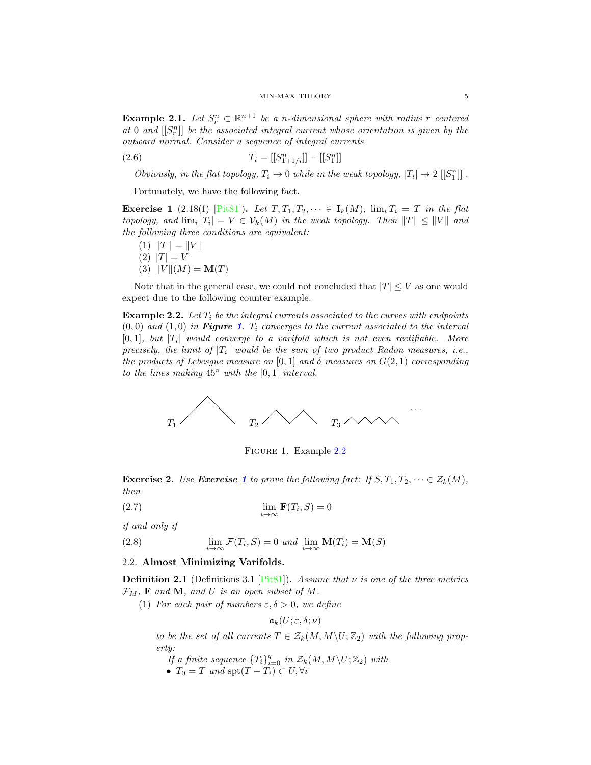**Example 2.1.** Let  $S_r^n \subset \mathbb{R}^{n+1}$  be a n-dimensional sphere with radius r centered at  $0$  and  $[[S_r^n]]$  be the associated integral current whose orientation is given by the outward normal. Consider a sequence of integral currents

(2.6)  $T_i = [[S_{1+1/i}^n]] - [[S_1^n]]$ 

Obviously, in the flat topology,  $T_i \to 0$  while in the weak topology,  $|T_i| \to 2|[[S_1^n]]|$ .

Fortunately, we have the following fact.

<span id="page-4-3"></span>**Exercise 1** (2.18(f) [\[Pit81\]](#page-23-2)). Let  $T, T_1, T_2, \dots \in I_k(M)$ ,  $\lim_i T_i = T$  in the flat topology, and  $\lim_i |T_i| = V \in V_k(M)$  in the weak topology. Then  $||T|| \le ||V||$  and the following three conditions are equivalent:

- (1)  $\Vert T \Vert = \Vert V \Vert$
- $(2)$   $|T| = V$
- (3)  $||V||(M) = M(T)$

Note that in the general case, we could not concluded that  $|T| \leq V$  as one would expect due to the following counter example.

<span id="page-4-2"></span>**Example 2.2.** Let  $T_i$  be the integral currents associated to the curves with endpoints  $(0,0)$  and  $(1,0)$  $(1,0)$  $(1,0)$  in **Figure 1.** T<sub>i</sub> converges to the current associated to the interval  $[0,1]$ , but  $|T_i|$  would converge to a varifold which is not even rectifiable. More precisely, the limit of  $|T_i|$  would be the sum of two product Radon measures, i.e., the products of Lebesgue measure on [0, 1] and  $\delta$  measures on  $G(2, 1)$  corresponding to the lines making  $45^\circ$  with the [0,1] interval.



<span id="page-4-1"></span>FIGURE 1. Example [2.2](#page-4-2)

**Exercise 2.** Use **Exercise [1](#page-4-3)** to prove the following fact: If  $S, T_1, T_2, \dots \in \mathcal{Z}_k(M)$ , then

(2.7) 
$$
\lim_{i \to \infty} \mathbf{F}(T_i, S) = 0
$$

if and only if

(2.8) 
$$
\lim_{i \to \infty} \mathcal{F}(T_i, S) = 0 \text{ and } \lim_{i \to \infty} \mathbf{M}(T_i) = \mathbf{M}(S)
$$

# <span id="page-4-0"></span>2.2. Almost Minimizing Varifolds.

**Definition 2.1** (Definitions 3.1 [\[Pit81\]](#page-23-2)). Assume that  $\nu$  is one of the three metrics  $\mathcal{F}_M$ , **F** and **M**, and *U* is an open subset of M.

(1) For each pair of numbers  $\varepsilon, \delta > 0$ , we define

$$
\mathfrak{a}_k(U;\varepsilon,\delta;\nu)
$$

to be the set of all currents  $T \in \mathcal{Z}_k(M,M\backslash U;\mathbb{Z}_2)$  with the following property:

If a finite sequence  $\{T_i\}_{i=0}^q$  in  $\mathcal{Z}_k(M,M\backslash U;\mathbb{Z}_2)$  with

•  $T_0 = T$  and  $\text{spt}(T - T_i) \subset U, \forall i$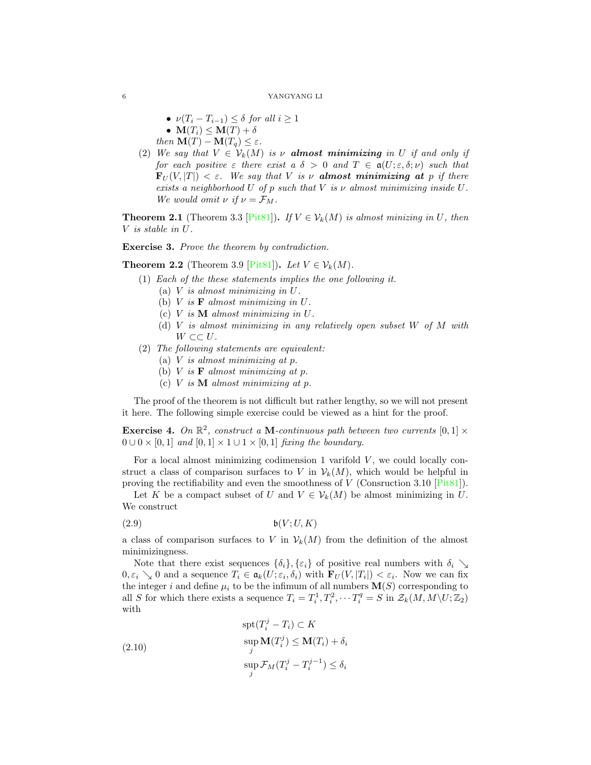- $\nu(T_i T_{i-1}) \leq \delta$  for all  $i \geq 1$ •  $\mathbf{M}(T_i) \leq \mathbf{M}(T) + \delta$
- then  $\mathbf{M}(T) \mathbf{M}(T_q) \leq \varepsilon$ .
- (2) We say that  $V \in V_k(M)$  is  $\nu$  **almost minimizing** in U if and only if for each positive  $\varepsilon$  there exist  $a \delta > 0$  and  $T \in \mathfrak{a}(U; \varepsilon, \delta; \nu)$  such that  $\mathbf{F}_U(V, |T|) < \varepsilon$ . We say that V is v almost minimizing at p if there exists a neighborhood U of p such that V is  $\nu$  almost minimizing inside U. We would omit  $\nu$  if  $\nu = \mathcal{F}_M$ .

**Theorem 2.1** (Theorem 3.3 [\[Pit81\]](#page-23-2)). If  $V \in V_k(M)$  is almost minizing in U, then V is stable in U.

Exercise 3. Prove the theorem by contradiction.

**Theorem 2.2** (Theorem 3.9 [\[Pit81\]](#page-23-2)). Let  $V \in V_k(M)$ .

- (1) Each of the these statements implies the one following it.
	- (a)  $V$  is almost minimizing in  $U$ .
	- (b)  $V$  is  **almost minimizing in**  $U$ **.**
	- (c)  $V$  is  $M$  almost minimizing in  $U$ .
	- (d)  $V$  is almost minimizing in any relatively open subset  $W$  of  $M$  with  $W \subset\subset U$ .
- (2) The following statements are equivalent:
	- (a)  $V$  is almost minimizing at  $p$ .
	- (b)  $V$  is  **almost minimizing at**  $p$ **.**
	- (c)  $V$  is  $M$  almost minimizing at  $p$ .

The proof of the theorem is not difficult but rather lengthy, so we will not present it here. The following simple exercise could be viewed as a hint for the proof.

**Exercise 4.** On  $\mathbb{R}^2$ , construct a **M**-continuous path between two currents  $[0,1] \times$  $0 \cup 0 \times [0, 1]$  and  $[0, 1] \times 1 \cup 1 \times [0, 1]$  fixing the boundary.

For a local almost minimizing codimension 1 varifold  $V$ , we could locally construct a class of comparison surfaces to V in  $\mathcal{V}_k(M)$ , which would be helpful in proving the rectifiability and even the smoothness of V (Consruction 3.10 [\[Pit81\]](#page-23-2)).

Let K be a compact subset of U and  $V \in \mathcal{V}_k(M)$  be almost minimizing in U. We construct

(2.9) b(V ;U, K)

a class of comparison surfaces to V in  $\mathcal{V}_k(M)$  from the definition of the almost minimizingness.

Note that there exist sequences  $\{\delta_i\}, \{\varepsilon_i\}$  of positive real numbers with  $\delta_i \searrow$  $0, \varepsilon_i \searrow 0$  and a sequence  $T_i \in \mathfrak{a}_k(U; \varepsilon_i, \delta_i)$  with  $\mathbf{F}_U(V, |T_i|) < \varepsilon_i$ . Now we can fix the integer i and define  $\mu_i$  to be the infimum of all numbers  $\mathbf{M}(S)$  corresponding to all S for which there exists a sequence  $T_i = T_i^1, T_i^2, \cdots T_i^q = S$  in  $\mathcal{Z}_k(M, M \setminus U; \mathbb{Z}_2)$ with

(2.10)  
\n
$$
\operatorname{spt}(T_i^j - T_i) \subset K
$$
\n
$$
\operatorname{sup}_{j} \mathbf{M}(T_i^j) \leq \mathbf{M}(T_i) + \delta_i
$$
\n
$$
\operatorname{sup}_{j} \mathcal{F}_M(T_i^j - T_i^{j-1}) \leq \delta_i
$$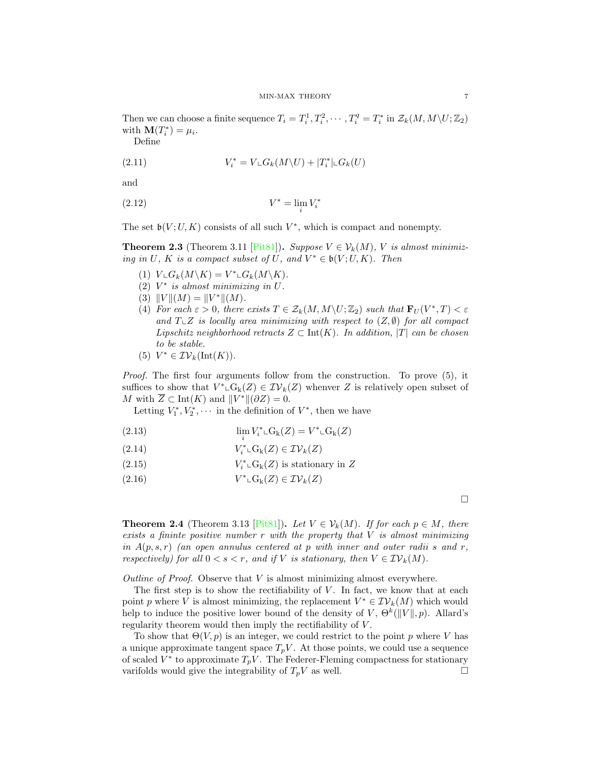Then we can choose a finite sequence  $T_i = T_i^1, T_i^2, \cdots, T_i^q = T_i^*$  in  $\mathcal{Z}_k(M, M \setminus U; \mathbb{Z}_2)$ with  $\mathbf{M}(T_i^*) = \mu_i$ .

Define

(2.11) 
$$
V_i^* = V \llcorner G_k(M \backslash U) + |T_i^*| \llcorner G_k(U)
$$

and

$$
(2.12)\t\t\t V^* = \lim_i V_i^*
$$

The set  $\mathfrak{b}(V;U,K)$  consists of all such  $V^*$ , which is compact and nonempty.

**Theorem 2.3** (Theorem 3.11 [\[Pit81\]](#page-23-2)). Suppose  $V \in \mathcal{V}_k(M)$ , V is almost minimizing in U, K is a compact subset of U, and  $V^* \in \mathfrak{b}(V; U, K)$ . Then

- (1)  $V \llcorner G_k(M \backslash K) = V^* \llcorner G_k(M \backslash K).$
- (2)  $V^*$  is almost minimizing in  $U$ .
- (3)  $||V||(M) = ||V^*||(M)$ .
- (4) For each  $\varepsilon > 0$ , there exists  $T \in \mathcal{Z}_k(M,M \setminus U;\mathbb{Z}_2)$  such that  $\mathbf{F}_U(V^*,T) < \varepsilon$ and  $T\llcorner Z$  is locally area minimizing with respect to  $(Z, \emptyset)$  for all compact Lipschitz neighborhood retracts  $Z \subset \text{Int}(K)$ . In addition, |T| can be chosen to be stable.

(5) 
$$
V^* \in \mathcal{IV}_k(\text{Int}(K))
$$
.

Proof. The first four arguments follow from the construction. To prove (5), it suffices to show that  $V^* \text{\rm L}G_k(Z) \in \mathcal{IV}_k(Z)$  whenver Z is relatively open subset of M with  $\overline{Z} \subset \text{Int}(K)$  and  $||V^*||(\partial Z) = 0$ .

Letting  $V_1^*, V_2^*, \cdots$  in the definition of  $V^*$ , then we have

(2.13) 
$$
\lim_{i} V_{i}^{*} \mathcal{L}G_{k}(Z) = V^{*} \mathcal{L}G_{k}(Z)
$$

(2.14) 
$$
V_i^* \llcorner G_k(Z) \in \mathcal{IV}_k(Z)
$$

(2.15) 
$$
V_i^* \llcorner G_k(Z) \text{ is stationary in } Z
$$

(2.16)  $V^* \text{L}G_k(Z) \in \mathcal{IV}_k(Z)$ 

 $\Box$ 

<span id="page-6-0"></span>**Theorem 2.4** (Theorem 3.13 [\[Pit81\]](#page-23-2)). Let  $V \in \mathcal{V}_k(M)$ . If for each  $p \in M$ , there exists a fininte positive number  $r$  with the property that  $V$  is almost minimizing in  $A(p,s,r)$  (an open annulus centered at p with inner and outer radii s and r, respectively) for all  $0 < s < r$ , and if V is stationary, then  $V \in \mathcal{IV}_k(M)$ .

Outline of Proof. Observe that  $V$  is almost minimizing almost everywhere.

The first step is to show the rectifiability of  $V$ . In fact, we know that at each point p where V is almost minimizing, the replacement  $V^* \in \mathcal{IV}_k(M)$  which would help to induce the positive lower bound of the density of V,  $\Theta^k(\|V\|, p)$ . Allard's regularity theorem would then imply the rectifiability of V.

To show that  $\Theta(V, p)$  is an integer, we could restrict to the point p where V has a unique approximate tangent space  $T_pV$ . At those points, we could use a sequence of scaled  $V^*$  to approximate  $T_pV$ . The Federer-Fleming compactness for stationary varifolds would give the integrability of  $T_pV$  as well.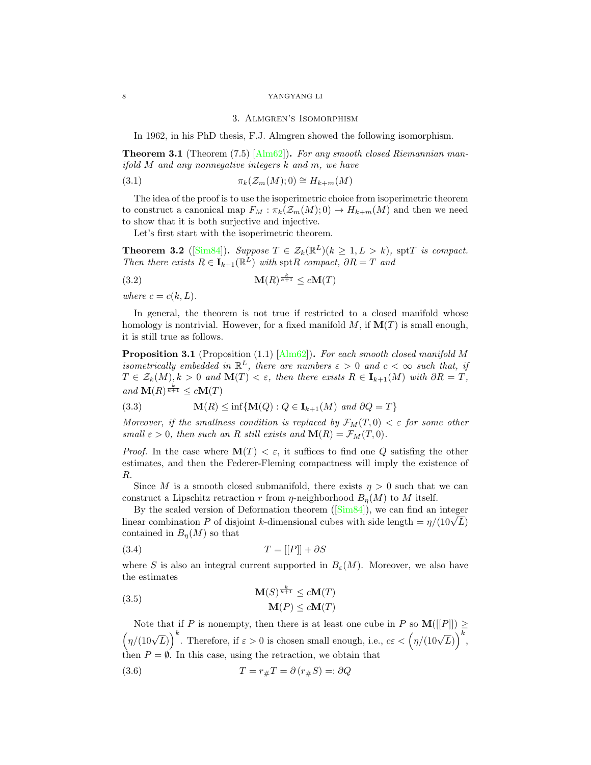#### 3. Almgren's Isomorphism

<span id="page-7-0"></span>In 1962, in his PhD thesis, F.J. Almgren showed the following isomorphism.

**Theorem 3.1** (Theorem  $(7.5)$   $\text{[Alm62]}$ ). For any smooth closed Riemannian manifold M and any nonnegative integers k and m, we have

(3.1) 
$$
\pi_k(\mathcal{Z}_m(M);0) \cong H_{k+m}(M)
$$

The idea of the proof is to use the isoperimetric choice from isoperimetric theorem to construct a canonical map  $F_M : \pi_k(\mathcal{Z}_m(M);0) \to H_{k+m}(M)$  and then we need to show that it is both surjective and injective.

Let's first start with the isoperimetric theorem.

**Theorem 3.2** ([\[Sim84\]](#page-24-5)). Suppose  $T \in \mathcal{Z}_k(\mathbb{R}^L)$   $(k \geq 1, L > k)$ , sptT is compact. Then there exists  $R \in \mathbf{I}_{k+1}(\mathbb{R}^L)$  with spt $R$  compact,  $\partial R = T$  and

$$
\mathbf{M}(R)^{\frac{k}{k+1}} \le c\mathbf{M}(T)
$$

where  $c = c(k, L)$ .

In general, the theorem is not true if restricted to a closed manifold whose homology is nontrivial. However, for a fixed manifold  $M$ , if  $\mathbf{M}(T)$  is small enough, it is still true as follows.

<span id="page-7-1"></span>**Proposition 3.1** (Proposition (1.1)  $\text{[Alm62]}$ . For each smooth closed manifold M isometrically embedded in  $\mathbb{R}^L$ , there are numbers  $\varepsilon > 0$  and  $c < \infty$  such that, if  $T \in \mathcal{Z}_k(M), k > 0$  and  $\mathbf{M}(T) < \varepsilon$ , then there exists  $R \in \mathbf{I}_{k+1}(M)$  with  $\partial R = T$ , and  $\mathbf{M}(R)^{\frac{k}{k+1}} \leq c\mathbf{M}(T)$ 

(3.3) 
$$
\mathbf{M}(R) \le \inf \{ \mathbf{M}(Q) : Q \in \mathbf{I}_{k+1}(M) \text{ and } \partial Q = T \}
$$

Moreover, if the smallness condition is replaced by  $\mathcal{F}_M(T,0) < \varepsilon$  for some other small  $\varepsilon > 0$ , then such an R still exists and  $\mathbf{M}(R) = \mathcal{F}_M(T, 0)$ .

*Proof.* In the case where  $\mathbf{M}(T) < \varepsilon$ , it suffices to find one Q satisfing the other estimates, and then the Federer-Fleming compactness will imply the existence of R.

Since M is a smooth closed submanifold, there exists  $\eta > 0$  such that we can construct a Lipschitz retraction r from  $\eta$ -neighborhood  $B_n(M)$  to M itself.

By the scaled version of Deformation theorem([\[Sim84\]](#page-24-5)), we can find an integer By the scaled version of Deformation theorem  $\left(\frac{5 \text{ m/s}}{4}\right)$ , we can find an integer<br>linear combination P of disjoint k-dimensional cubes with side length =  $\eta/(10\sqrt{L})$ contained in  $B_n(M)$  so that

$$
(3.4) \t\t T = [[P]] + \partial S
$$

where S is also an integral current supported in  $B_{\varepsilon}(M)$ . Moreover, we also have the estimates

(3.5) 
$$
\mathbf{M}(S)^{\frac{k}{k+1}} \le c\mathbf{M}(T)
$$

$$
\mathbf{M}(P) \le c\mathbf{M}(T)
$$

Note that if P is nonempty, then there is at least one cube in P so  $\mathbf{M}([[P]]) \geq$  $\left(\eta/(10\sqrt{L})\right)^k$ . Therefore, if  $\varepsilon > 0$  is chosen small enough, i.e.,  $c\varepsilon < \left(\eta/(10\sqrt{L})\right)^k$ . then  $P = \emptyset$ . In this case, using the retraction, we obtain that

(3.6) 
$$
T = r_{\#}T = \partial (r_{\#}S) =: \partial Q
$$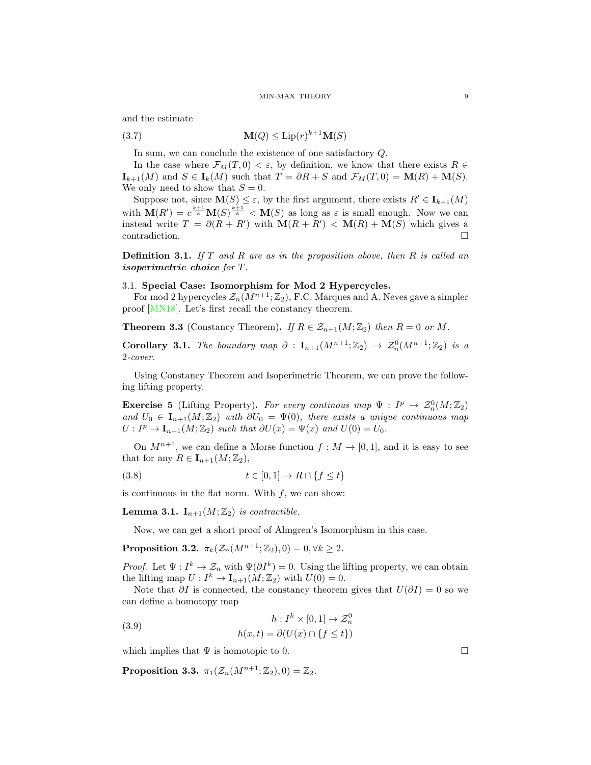and the estimate

$$
\mathbf{M}(Q) \le \text{Lip}(r)^{k+1} \mathbf{M}(S)
$$

In sum, we can conclude the existence of one satisfactory Q.

In the case where  $\mathcal{F}_M(T, 0) < \varepsilon$ , by definition, we know that there exists  $R \in$  $\mathbf{I}_{k+1}(M)$  and  $S \in \mathbf{I}_k(M)$  such that  $T = \partial R + S$  and  $\mathcal{F}_M(T, 0) = \mathbf{M}(R) + \mathbf{M}(S)$ . We only need to show that  $S = 0$ .

Suppose not, since  $\mathbf{M}(S) \leq \varepsilon$ , by the first argument, there exists  $R' \in \mathbf{I}_{k+1}(M)$ with  $\mathbf{M}(R') = c^{\frac{k+1}{k}} \mathbf{M}(S)^{\frac{k+1}{k}} < \mathbf{M}(S)$  as long as  $\varepsilon$  is small enough. Now we can instead write  $T = \partial(R + R')$  with  $\mathbf{M}(R + R') < \mathbf{M}(R) + \mathbf{M}(S)$  which gives a contradiction.

**Definition 3.1.** If  $T$  and  $R$  are as in the proposition above, then  $R$  is called an isoperimetric choice for T.

# <span id="page-8-0"></span>3.1. Special Case: Isomorphism for Mod 2 Hypercycles.

For mod 2 hypercycles  $\mathcal{Z}_n(M^{n+1}; \mathbb{Z}_2)$ , F.C. Marques and A. Neves gave a simpler proof [\[MN18\]](#page-23-7). Let's first recall the constancy theorem.

**Theorem 3.3** (Constancy Theorem). If  $R \in \mathcal{Z}_{n+1}(M;\mathbb{Z}_2)$  then  $R = 0$  or M.

Corollary 3.1. The boundary map  $\partial$  :  $I_{n+1}(M^{n+1};\mathbb{Z}_2) \rightarrow \mathcal{Z}_n^0(M^{n+1};\mathbb{Z}_2)$  is a 2-cover.

Using Constancy Theorem and Isoperimetric Theorem, we can prove the following lifting property.

**Exercise 5** (Lifting Property). For every continuos map  $\Psi : I^p \to \mathcal{Z}_n^0(M; \mathbb{Z}_2)$ and  $U_0 \in I_{n+1}(M; \mathbb{Z}_2)$  with  $\partial U_0 = \Psi(0)$ , there exists a unique continuous map  $U: I^p \to \mathbf{I}_{n+1}(M; \mathbb{Z}_2)$  such that  $\partial U(x) = \Psi(x)$  and  $U(0) = U_0$ .

On  $M^{n+1}$ , we can define a Morse function  $f : M \to [0,1]$ , and it is easy to see that for any  $R \in I_{n+1}(M; \mathbb{Z}_2)$ ,

$$
(3.8) \qquad \qquad t \in [0,1] \to R \cap \{f \le t\}
$$

is continuous in the flat norm. With  $f$ , we can show:

**Lemma 3.1.**  $I_{n+1}(M; \mathbb{Z}_2)$  is contractible.

Now, we can get a short proof of Almgren's Isomorphism in this case.

**Proposition 3.2.**  $\pi_k(\mathcal{Z}_n(M^{n+1}; \mathbb{Z}_2), 0) = 0, \forall k \geq 2.$ 

*Proof.* Let  $\Psi: I^k \to \mathcal{Z}_n$  with  $\Psi(\partial I^k) = 0$ . Using the lifting property, we can obtain the lifting map  $U: I^k \to \mathbf{I}_{n+1}(M; \mathbb{Z}_2)$  with  $U(0) = 0$ .

Note that  $\partial I$  is connected, the constancy theorem gives that  $U(\partial I) = 0$  so we can define a homotopy map

(3.9) 
$$
h: I^{k} \times [0,1] \to \mathcal{Z}_{n}^{0}
$$

$$
h(x,t) = \partial(U(x) \cap \{f \le t\})
$$

which implies that  $\Psi$  is homotopic to 0.

Proposition 3.3.  $\pi_1(\mathcal{Z}_n(M^{n+1}; \mathbb{Z}_2), 0) = \mathbb{Z}_2$ .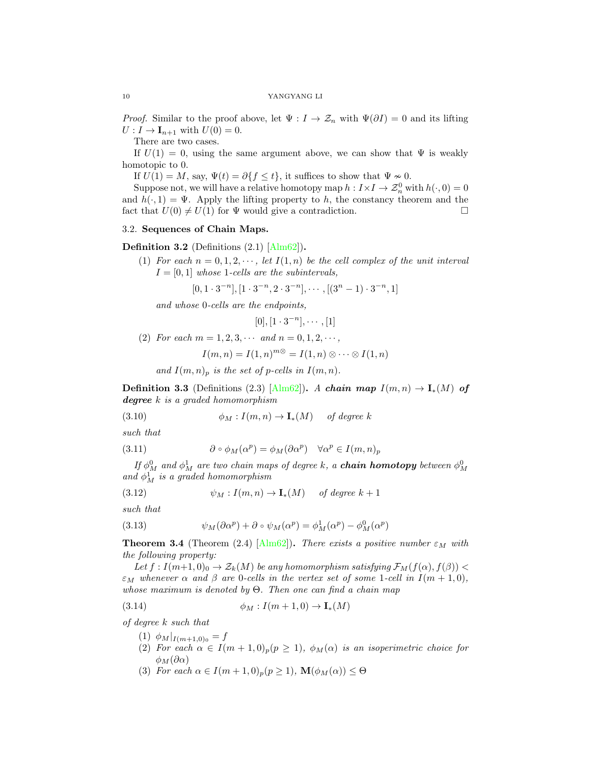*Proof.* Similar to the proof above, let  $\Psi : I \to \mathcal{Z}_n$  with  $\Psi(\partial I) = 0$  and its lifting  $U: I \to \mathbf{I}_{n+1}$  with  $U(0) = 0$ .

There are two cases.

If  $U(1) = 0$ , using the same argument above, we can show that  $\Psi$  is weakly homotopic to 0.

If  $U(1) = M$ , say,  $\Psi(t) = \partial\{f \le t\}$ , it suffices to show that  $\Psi \sim 0$ .

Suppose not, we will have a relative homotopy map  $h: I \times I \to \mathcal{Z}_n^0$  with  $h(\cdot, 0) = 0$ and  $h(\cdot, 1) = \Psi$ . Apply the lifting property to h, the constancy theorem and the fact that  $U(0) \neq U(1)$  for  $\Psi$  would give a contradiction.

# <span id="page-9-0"></span>3.2. Sequences of Chain Maps.

**Definition 3.2** (Definitions  $(2.1)$  [\[Alm62\]](#page-23-12)).

(1) For each  $n = 0, 1, 2, \dots$ , let  $I(1, n)$  be the cell complex of the unit interval  $I = [0, 1]$  whose 1-cells are the subintervals,

$$
[0, 1 \cdot 3^{-n}], [1 \cdot 3^{-n}, 2 \cdot 3^{-n}], \cdots, [(3^n - 1) \cdot 3^{-n}, 1]
$$

and whose 0-cells are the endpoints,

 $[0], [1 \cdot 3^{-n}], \cdots, [1]$ 

(2) For each  $m = 1, 2, 3, \cdots$  and  $n = 0, 1, 2, \cdots$ ,

$$
I(m, n) = I(1, n)^{m \otimes} = I(1, n) \otimes \cdots \otimes I(1, n)
$$

and  $I(m, n)_p$  is the set of p-cells in  $I(m, n)$ .

**Definition 3.3** (Definitions (2.3) [\[Alm62\]](#page-23-12)). A chain map  $I(m,n) \to I_*(M)$  of degree k is a graded homomorphism

(3.10) 
$$
\phi_M: I(m,n) \to \mathbf{I}_*(M) \quad \text{ of degree } k
$$

such that

(3.11) 
$$
\partial \circ \phi_M(\alpha^p) = \phi_M(\partial \alpha^p) \quad \forall \alpha^p \in I(m, n)_p
$$

If  $\phi^0_M$  and  $\phi^1_M$  are two chain maps of degree k, a **chain homotopy** between  $\phi^0_M$ and  $\phi_M^1$  is a graded homomorphism

(3.12) 
$$
\psi_M: I(m,n) \to \mathbf{I}_*(M) \quad \text{ of degree } k+1
$$

such that

(3.13) 
$$
\psi_M(\partial \alpha^p) + \partial \circ \psi_M(\alpha^p) = \phi_M^1(\alpha^p) - \phi_M^0(\alpha^p)
$$

**Theorem 3.4** (Theorem (2.4) [\[Alm62\]](#page-23-12)). There exists a positive number  $\varepsilon_M$  with the following property:

Let  $f: I(m+1,0)_0 \to \mathcal{Z}_k(M)$  be any homomorphism satisfying  $\mathcal{F}_M(f(\alpha), f(\beta))$  $\varepsilon_M$  whenever  $\alpha$  and  $\beta$  are 0-cells in the vertex set of some 1-cell in  $I(m+1,0)$ , whose maximum is denoted by  $\Theta$ . Then one can find a chain map

$$
(3.14) \qquad \phi_M: I(m+1,0) \to \mathbf{I}_*(M)
$$

of degree k such that

- (1)  $\phi_M|_{I(m+1,0)_0} = f$
- (2) For each  $\alpha \in I(m+1,0)_p (p \geq 1)$ ,  $\phi_M(\alpha)$  is an isoperimetric choice for  $\phi_M(\partial \alpha)$
- (3) For each  $\alpha \in I(m+1,0)_n(p \geq 1)$ ,  $\mathbf{M}(\phi_M(\alpha)) \leq \Theta$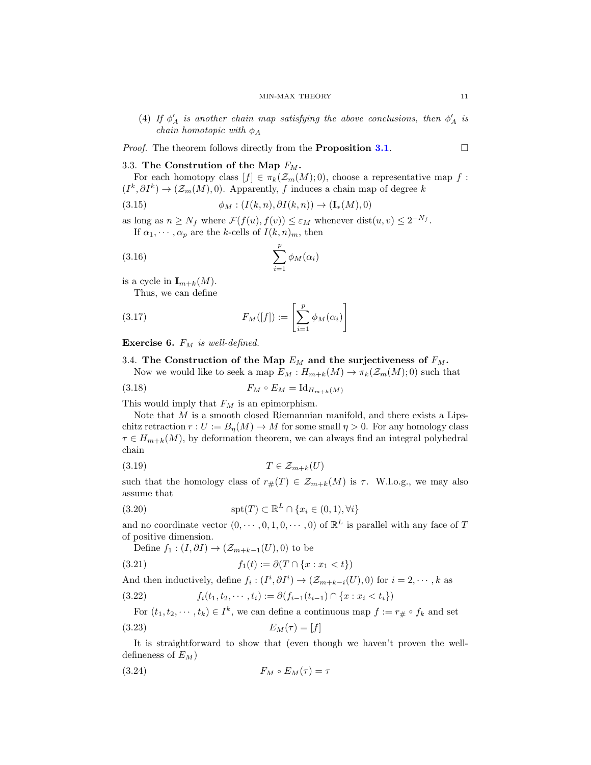(4) If  $\phi'_A$  is another chain map satisfying the above conclusions, then  $\phi'_A$  is chain homotopic with  $\phi_A$ 

*Proof.* The theorem follows directly from the **Proposition [3.1](#page-7-1).** 

# <span id="page-10-0"></span>3.3. The Constrution of the Map  $F_M$ .

For each homotopy class  $[f] \in \pi_k(\mathcal{Z}_m(M); 0)$ , choose a representative map f:  $(I^k, \partial I^k) \to (\mathcal{Z}_m(M), 0)$ . Apparently, f induces a chain map of degree k

(3.15) 
$$
\phi_M : (I(k,n), \partial I(k,n)) \to (\mathbf{I}_*(M), 0)
$$

as long as  $n \geq N_f$  where  $\mathcal{F}(f(u), f(v)) \leq \varepsilon_M$  whenever  $dist(u, v) \leq 2^{-N_f}$ . If  $\alpha_1, \dots, \alpha_p$  are the k-cells of  $I(k,n)_m$ , then

$$
\sum_{i=1}^{p} \phi_M(\alpha_i)
$$

is a cycle in  $\mathbf{I}_{m+k}(M)$ .

Thus, we can define

(3.17) 
$$
F_M([f]) := \left[\sum_{i=1}^p \phi_M(\alpha_i)\right]
$$

Exercise 6.  $F_M$  is well-defined.

# <span id="page-10-1"></span>3.4. The Construction of the Map  $E_M$  and the surjectiveness of  $F_M$ .

Now we would like to seek a map  $E_M : H_{m+k}(M) \to \pi_k(\mathcal{Z}_m(M); 0)$  such that

$$
(3.18)\qquad \qquad F_M \circ E_M = \mathrm{Id}_{H_{m+k}(M)}
$$

This would imply that  $F_M$  is an epimorphism.

Note that  $M$  is a smooth closed Riemannian manifold, and there exists a Lipschitz retraction  $r: U := B_n(M) \to M$  for some small  $\eta > 0$ . For any homology class  $\tau \in H_{m+k}(M)$ , by deformation theorem, we can always find an integral polyhedral chain

$$
(3.19) \t\t T \in \mathcal{Z}_{m+k}(U)
$$

such that the homology class of  $r_{\#}(T) \in \mathcal{Z}_{m+k}(M)$  is  $\tau$ . W.l.o.g., we may also assume that

(3.20) 
$$
\operatorname{spt}(T) \subset \mathbb{R}^L \cap \{x_i \in (0,1), \forall i\}
$$

and no coordinate vector  $(0, \dots, 0, 1, 0, \dots, 0)$  of  $\mathbb{R}^L$  is parallel with any face of T of positive dimension.

Define  $f_1$  :  $(I, \partial I) \rightarrow (\mathcal{Z}_{m+k-1}(U), 0)$  to be

(3.21) 
$$
f_1(t) := \partial (T \cap \{x : x_1 < t\})
$$

And then inductively, define  $f_i: (I^i, \partial I^i) \to (\mathcal{Z}_{m+k-i}(U), 0)$  for  $i = 2, \dots, k$  as

(3.22)  $f_i(t_1, t_2, \dots, t_i) := \partial(f_{i-1}(t_{i-1}) \cap \{x : x_i < t_i\})$ 

For 
$$
(t_1, t_2, \dots, t_k) \in I^k
$$
, we can define a continuous map  $f := r_{\#} \circ f_k$  and set  
(3.23) 
$$
E_M(\tau) = [f]
$$

It is straightforward to show that (even though we haven't proven the welldefineness of  $E_M$ )

$$
(3.24) \t\t F_M \circ E_M(\tau) = \tau
$$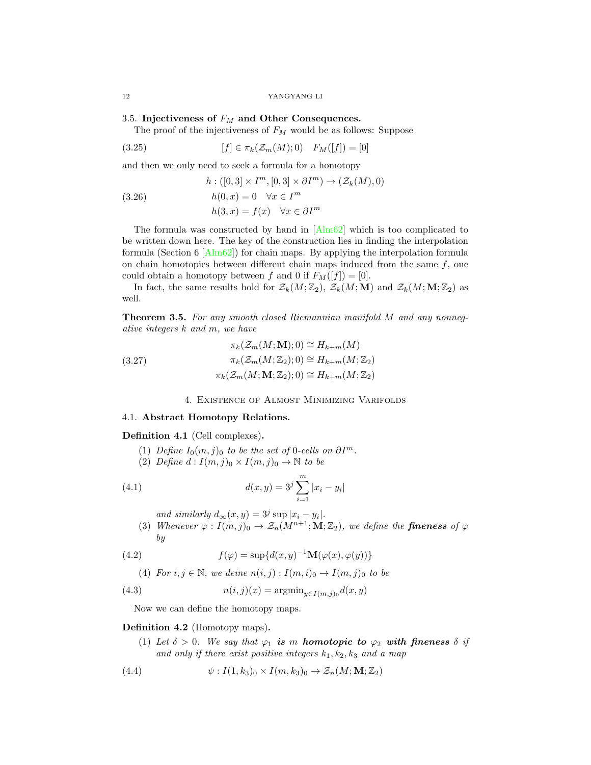## <span id="page-11-0"></span>3.5. Injectiveness of  $F_M$  and Other Consequences.

The proof of the injectiveness of  $F_M$  would be as follows: Suppose

(3.25) 
$$
[f] \in \pi_k(\mathcal{Z}_m(M);0) \quad F_M([f]) = [0]
$$

and then we only need to seek a formula for a homotopy

(3.26)  
\n
$$
h: ([0,3] \times I^m, [0,3] \times \partial I^m) \to (\mathcal{Z}_k(M), 0)
$$
\n
$$
h(0, x) = 0 \quad \forall x \in I^m
$$
\n
$$
h(3, x) = f(x) \quad \forall x \in \partial I^m
$$

The formula was constructed by hand in [\[Alm62\]](#page-23-12) which is too complicated to be written down here. The key of the construction lies in finding the interpolation formula (Section 6  $[Alm62]$ ) for chain maps. By applying the interpolation formula on chain homotopies between different chain maps induced from the same  $f$ , one could obtain a homotopy between f and 0 if  $F_M([f]) = [0]$ .

In fact, the same results hold for  $\mathcal{Z}_k(M;\mathbb{Z}_2)$ ,  $\mathcal{Z}_k(M;\mathbf{M})$  and  $\mathcal{Z}_k(M;\mathbf{M};\mathbb{Z}_2)$  as well.

Theorem 3.5. For any smooth closed Riemannian manifold M and any nonnegative integers k and m, we have

(3.27) 
$$
\pi_k(\mathcal{Z}_m(M; \mathbf{M}); 0) \cong H_{k+m}(M)
$$

$$
\pi_k(\mathcal{Z}_m(M; \mathbb{Z}_2); 0) \cong H_{k+m}(M; \mathbb{Z}_2)
$$

$$
\pi_k(\mathcal{Z}_m(M; \mathbf{M}; \mathbb{Z}_2); 0) \cong H_{k+m}(M; \mathbb{Z}_2)
$$

## 4. Existence of Almost Minimizing Varifolds

## <span id="page-11-2"></span><span id="page-11-1"></span>4.1. Abstract Homotopy Relations.

## Definition 4.1 (Cell complexes).

- (1) Define  $I_0(m, j)_0$  to be the set of 0-cells on  $\partial I^m$ .
- (2) Define  $d: I(m, j)_0 \times I(m, j)_0 \rightarrow \mathbb{N}$  to be

(4.1) 
$$
d(x,y) = 3^{j} \sum_{i=1}^{m} |x_i - y_i|
$$

and similarly  $d_{\infty}(x, y) = 3^j \sup |x_i - y_i|$ .

(3) Whenever  $\varphi : I(m, j)_0 \to \mathcal{Z}_n(M^{n+1}; M; \mathbb{Z}_2)$ , we define the **fineness** of  $\varphi$ by

(4.2) 
$$
f(\varphi) = \sup \{ d(x, y)^{-1} \mathbf{M}(\varphi(x), \varphi(y)) \}
$$

(4) For 
$$
i, j \in \mathbb{N}
$$
, we define  $n(i, j) : I(m, i)_0 \to I(m, j)_0$  to be

(4.3) 
$$
n(i,j)(x) = \operatorname{argmin}_{y \in I(m,j)_0} d(x,y)
$$

Now we can define the homotopy maps.

## Definition 4.2 (Homotopy maps).

(1) Let  $\delta > 0$ . We say that  $\varphi_1$  is m homotopic to  $\varphi_2$  with fineness  $\delta$  if and only if there exist positive integers  $k_1, k_2, k_3$  and a map

(4.4) 
$$
\psi: I(1,k_3)_0 \times I(m,k_3)_0 \to \mathcal{Z}_n(M;\mathbf{M};\mathbb{Z}_2)
$$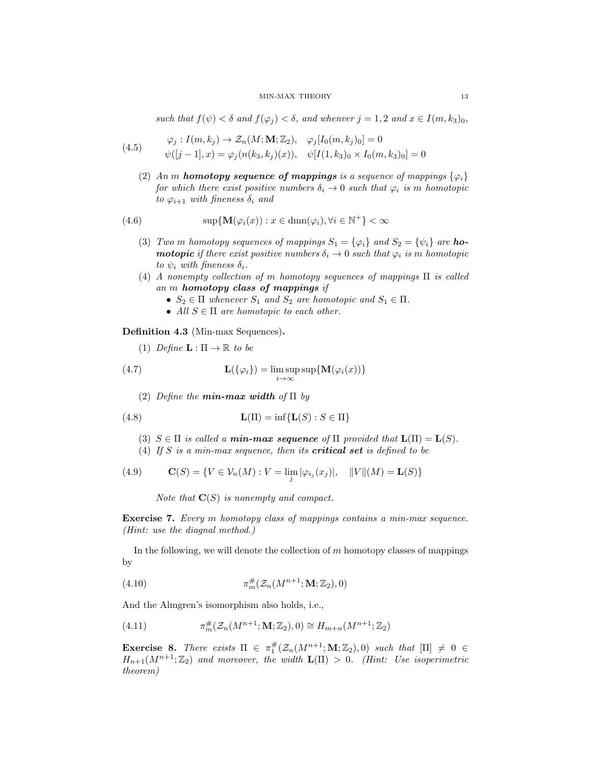such that  $f(\psi) < \delta$  and  $f(\varphi_i) < \delta$ , and whenver  $j = 1, 2$  and  $x \in I(m, k_3)_0$ ,

(4.5) 
$$
\varphi_j: I(m, k_j) \to \mathcal{Z}_n(M; \mathbf{M}; \mathbb{Z}_2), \quad \varphi_j[I_0(m, k_j)_0] = 0
$$

$$
\psi([j-1], x) = \varphi_j(n(k_3, k_j)(x)), \quad \psi[I(1, k_3)_0 \times I_0(m, k_3)_0] = 0
$$

(2) An m **homotopy sequence of mappings** is a sequence of mappings  $\{\varphi_i\}$ for which there exist positive numbers  $\delta_i \to 0$  such that  $\varphi_i$  is m homotopic to  $\varphi_{i+1}$  with fineness  $\delta_i$  and

(4.6) 
$$
\sup \{ \mathbf{M}(\varphi_i(x)) : x \in \text{dmn}(\varphi_i), \forall i \in \mathbb{N}^+ \} < \infty
$$

- (3) Two m homotopy sequences of mappings  $S_1 = {\varphi_i}$  and  $S_2 = {\psi_i}$  are **homotopic** if there exist positive numbers  $\delta_i \to 0$  such that  $\varphi_i$  is m homotopic to  $\psi_i$  with fineness  $\delta_i$ .
- (4) A nonempty collection of m homotopy sequences of mappings Π is called an m homotopy class of mappings if
	- $S_2 \in \Pi$  whenever  $S_1$  and  $S_2$  are homotopic and  $S_1 \in \Pi$ .
	- All  $S \in \Pi$  are homotopic to each other.

Definition 4.3 (Min-max Sequences).

(1) *Define* 
$$
\mathbf{L} : \Pi \to \mathbb{R}
$$
 to be

(4.7) 
$$
\mathbf{L}(\{\varphi_i\}) = \limsup_{i \to \infty} \sup \{ \mathbf{M}(\varphi_i(x)) \}
$$

(2) Define the **min-max width** of  $\Pi$  by

(4.8) 
$$
\mathbf{L}(\Pi) = \inf \{ \mathbf{L}(S) : S \in \Pi \}
$$

- (3)  $S \in \Pi$  is called a **min-max sequence** of  $\Pi$  provided that  $\mathbf{L}(\Pi) = \mathbf{L}(S)$ .
- (4) If  $S$  is a min-max sequence, then its **critical set** is defined to be

(4.9) 
$$
\mathbf{C}(S) = \{ V \in \mathcal{V}_n(M) : V = \lim_j |\varphi_{i_j}(x_j)|, \quad ||V||(M) = \mathbf{L}(S) \}
$$

Note that  $\mathbf{C}(S)$  is nonempty and compact.

Exercise 7. Every m homotopy class of mappings contains a min-max sequence. (Hint: use the diagnal method.)

In the following, we will denote the collection of  $m$  homotopy classes of mappings by

$$
\pi_m^{\#}(\mathcal{Z}_n(M^{n+1}; \mathbf{M}; \mathbb{Z}_2), 0)
$$

And the Almgren's isomorphism also holds, i.e.,

(4.11) 
$$
\pi_m^{\#}(\mathcal{Z}_n(M^{n+1}; \mathbf{M}; \mathbb{Z}_2), 0) \cong H_{m+n}(M^{n+1}; \mathbb{Z}_2)
$$

**Exercise 8.** There exists  $\Pi \in \pi_1^{\#}(\mathcal{Z}_n(M^{n+1}; \mathbf{M}; \mathbb{Z}_2), 0)$  such that  $[\Pi] \neq 0 \in$  $H_{n+1}(M^{n+1};\mathbb{Z}_2)$  and moreover, the width  $\mathbf{L}(\Pi) > 0$ . (Hint: Use isoperimetric theorem)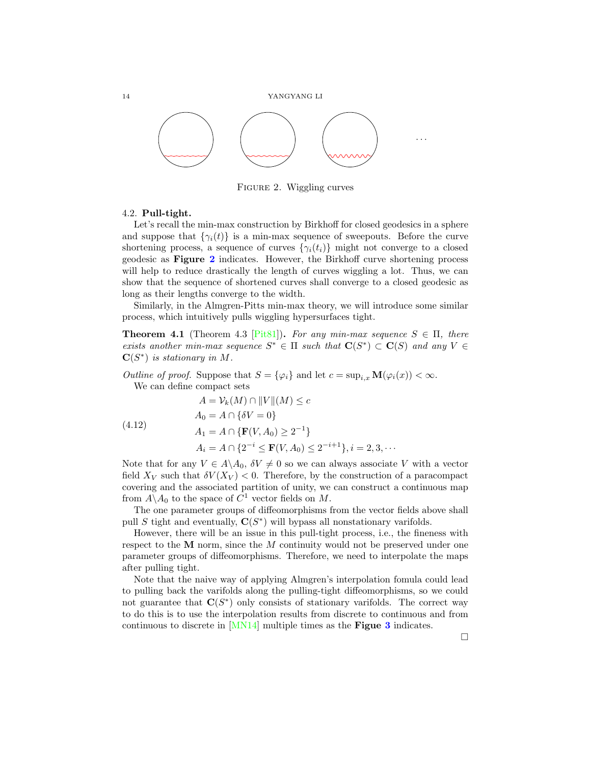

<span id="page-13-1"></span>FIGURE 2. Wiggling curves

## <span id="page-13-0"></span>4.2. Pull-tight.

Let's recall the min-max construction by Birkhoff for closed geodesics in a sphere and suppose that  $\{\gamma_i(t)\}\$ is a min-max sequence of sweepouts. Before the curve shortening process, a sequence of curves  $\{\gamma_i(t_i)\}\$  might not converge to a closed geodesic as Figure [2](#page-13-1) indicates. However, the Birkhoff curve shortening process will help to reduce drastically the length of curves wiggling a lot. Thus, we can show that the sequence of shortened curves shall converge to a closed geodesic as long as their lengths converge to the width.

Similarly, in the Almgren-Pitts min-max theory, we will introduce some similar process, which intuitively pulls wiggling hypersurfaces tight.

**Theorem 4.1** (Theorem 4.3 [\[Pit81\]](#page-23-2)). For any min-max sequence  $S \in \Pi$ , there exists another min-max sequence  $S^* \in \Pi$  such that  $\mathbf{C}(S^*) \subset \mathbf{C}(S)$  and any  $V \in$  $\mathbf{C}(S^*)$  is stationary in M.

Outline of proof. Suppose that  $S = {\varphi_i}$  and let  $c = \sup_{i,x} M(\varphi_i(x)) < \infty$ . We can define compact sets

(4.12)  
\n
$$
A = V_k(M) \cap ||V|| (M) \le c
$$
\n
$$
A_0 = A \cap \{ \delta V = 0 \}
$$
\n
$$
A_1 = A \cap \{ \mathbf{F}(V, A_0) \ge 2^{-1} \}
$$
\n
$$
A_i = A \cap \{ 2^{-i} \le \mathbf{F}(V, A_0) \le 2^{-i+1} \}, i = 2, 3, \cdots
$$

Note that for any  $V \in A \backslash A_0$ ,  $\delta V \neq 0$  so we can always associate V with a vector field  $X_V$  such that  $\delta V(X_V) < 0$ . Therefore, by the construction of a paracompact covering and the associated partition of unity, we can construct a continuous map from  $A \backslash A_0$  to the space of  $C^1$  vector fields on M.

The one parameter groups of diffeomorphisms from the vector fields above shall pull S tight and eventually,  $C(S^*)$  will bypass all nonstationary varifolds.

However, there will be an issue in this pull-tight process, i.e., the fineness with respect to the  $M$  norm, since the  $M$  continuity would not be preserved under one parameter groups of diffeomorphisms. Therefore, we need to interpolate the maps after pulling tight.

Note that the naive way of applying Almgren's interpolation fomula could lead to pulling back the varifolds along the pulling-tight diffeomorphisms, so we could not guarantee that  $\mathbf{C}(S^*)$  only consists of stationary varifolds. The correct way to do this is to use the interpolation results from discrete to continuous and from continuous to discrete in [\[MN14\]](#page-23-13) multiple times as the Figue [3](#page-14-1) indicates.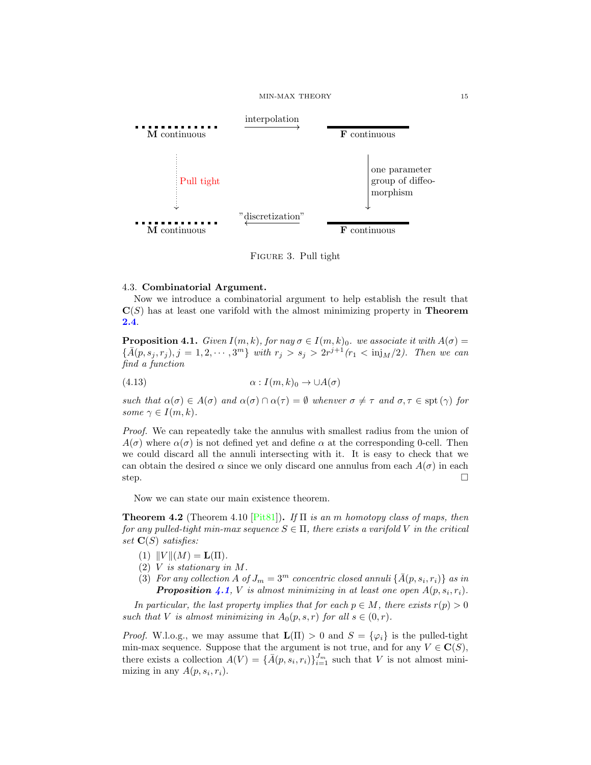

<span id="page-14-1"></span>Figure 3. Pull tight

### <span id="page-14-0"></span>4.3. Combinatorial Argument.

Now we introduce a combinatorial argument to help establish the result that  $\mathbf{C}(S)$  has at least one varifold with the almost minimizing property in **Theorem** [2.4](#page-6-0).

<span id="page-14-2"></span>**Proposition 4.1.** Given  $I(m, k)$ , for nay  $\sigma \in I(m, k)$ . we associate it with  $A(\sigma) =$  $\{\bar{A}(p,s_j,r_j), j=1,2,\cdots,3^m\}$  with  $r_j > s_j > 2r^{j+1}(r_1 < \text{inj}_M/2)$ . Then we can find a function

(4.13) 
$$
\alpha: I(m,k)_0 \to \cup A(\sigma)
$$

such that  $\alpha(\sigma) \in A(\sigma)$  and  $\alpha(\sigma) \cap \alpha(\tau) = \emptyset$  whenver  $\sigma \neq \tau$  and  $\sigma, \tau \in \text{spt}(\gamma)$  for some  $\gamma \in I(m, k)$ .

Proof. We can repeatedly take the annulus with smallest radius from the union of  $A(\sigma)$  where  $\alpha(\sigma)$  is not defined yet and define  $\alpha$  at the corresponding 0-cell. Then we could discard all the annuli intersecting with it. It is easy to check that we can obtain the desired  $\alpha$  since we only discard one annulus from each  $A(\sigma)$  in each step.  $\Box$ 

Now we can state our main existence theorem.

<span id="page-14-3"></span>**Theorem 4.2** (Theorem 4.10 [\[Pit81\]](#page-23-2)). If  $\Pi$  is an m homotopy class of maps, then for any pulled-tight min-max sequence  $S \in \Pi$ , there exists a varifold V in the critical set  $\mathbf{C}(S)$  satisfies:

- (1)  $||V||(M) = L(\Pi)$ .
- (2) V is stationary in M.
- (3) For any collection A of  $J_m = 3^m$  concentric closed annuli  $\{\bar{A}(p, s_i, r_i)\}$  as in **Proposition [4.1](#page-14-2)**, V is almost minimizing in at least one open  $A(p, s_i, r_i)$ .

In particular, the last property implies that for each  $p \in M$ , there exists  $r(p) > 0$ such that V is almost minimizing in  $A_0(p,s,r)$  for all  $s \in (0,r)$ .

*Proof.* W.l.o.g., we may assume that  $\mathbf{L}(\Pi) > 0$  and  $S = \{\varphi_i\}$  is the pulled-tight min-max sequence. Suppose that the argument is not true, and for any  $V \in \mathbf{C}(S)$ , there exists a collection  $A(V) = {\{\overline{A}(p, s_i, r_i)\}}_{i=1}^{J_m}$  such that V is not almost minimizing in any  $A(p, s_i, r_i)$ .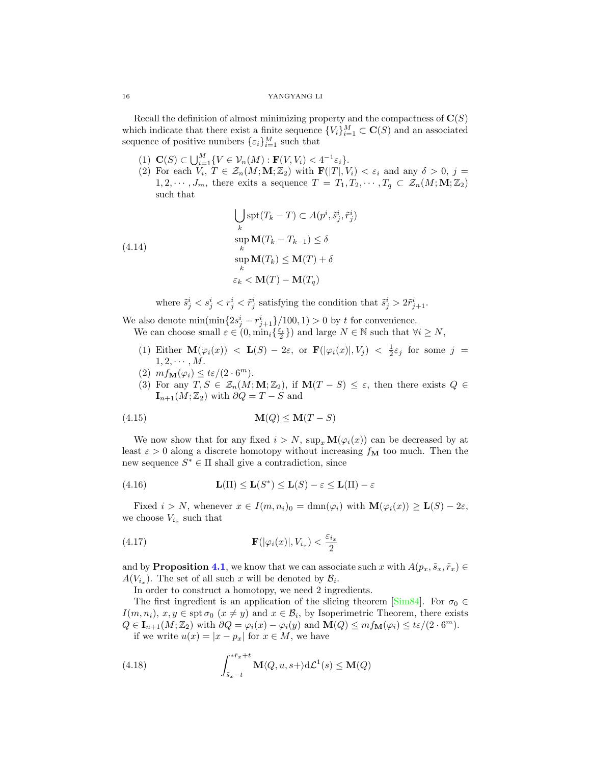Recall the definition of almost minimizing property and the compactness of  $\mathbf{C}(S)$ which indicate that there exist a finite sequence  ${V_i}_{i=1}^M \subset \mathbf{C}(S)$  and an associated sequence of positive numbers  $\{\varepsilon_i\}_{i=1}^M$  such that

- (1)  $\mathbf{C}(S) \subset \bigcup_{i=1}^M \{ V \in \mathcal{V}_n(M) : \mathbf{F}(V, V_i) < 4^{-1} \varepsilon_i \}.$
- (2) For each  $V_i, T \in \mathcal{Z}_n(M; \mathbf{M}; \mathbb{Z}_2)$  with  $\mathbf{F}(|T|, V_i) < \varepsilon_i$  and any  $\delta > 0, j =$  $1, 2, \cdots, J_m$ , there exits a sequence  $T = T_1, T_2, \cdots, T_q \subset \mathcal{Z}_n(M; \mathbf{M}; \mathbb{Z}_2)$ such that

(4.14)  
\n
$$
\bigcup_{k} \operatorname{spt}(T_{k} - T) \subset A(p^{i}, \tilde{s}_{j}^{i}, \tilde{r}_{j}^{i})
$$
\n
$$
\operatorname{sup}_{k} \mathbf{M}(T_{k} - T_{k-1}) \leq \delta
$$
\n
$$
\operatorname{sup}_{k} \mathbf{M}(T_{k}) \leq \mathbf{M}(T) + \delta
$$
\n
$$
\varepsilon_{k} < \mathbf{M}(T) - \mathbf{M}(T_{q})
$$

where  $\tilde{s}_j^i < s_j^i < r_j^i < \tilde{r}_j^i$  satisfying the condition that  $\tilde{s}_j^i > 2\tilde{r}_{j+1}^i$ .

We also denote  $\min(\min\{2s_j^i - r_{j+1}^i\}/100, 1) > 0$  by t for convenience. We can choose small  $\varepsilon \in (0, \min_i \{\frac{\varepsilon_i}{2}\})$  and large  $N \in \mathbb{N}$  such that  $\forall i \ge N$ ,

- (1) Either  $\mathbf{M}(\varphi_i(x)) < \mathbf{L}(S) 2\varepsilon$ , or  $\mathbf{F}(|\varphi_i(x)|, V_j) < \frac{1}{2}\varepsilon_j$  for some  $j =$  $1, 2, \cdots, M$ .
- (2)  $mf_{\mathbf{M}}(\varphi_i) \leq t \varepsilon/(2 \cdot 6^m).$
- (3) For any  $T, S \in \mathcal{Z}_n(M; \mathbf{M}; \mathbb{Z}_2)$ , if  $\mathbf{M}(T S) \leq \varepsilon$ , then there exists  $Q \in$  $\mathbf{I}_{n+1}(M;\mathbb{Z}_2)$  with  $\partial Q = T - S$  and

$$
(4.15)\quad \mathbf{M}(Q) \leq \mathbf{M}(T-S)
$$

We now show that for any fixed  $i > N$ ,  $\sup_x \mathbf{M}(\varphi_i(x))$  can be decreased by at least  $\varepsilon > 0$  along a discrete homotopy without increasing  $f_{\mathbf{M}}$  too much. Then the new sequence  $S^* \in \Pi$  shall give a contradiction, since

(4.16) 
$$
\mathbf{L}(\Pi) \leq \mathbf{L}(S^*) \leq \mathbf{L}(S) - \varepsilon \leq \mathbf{L}(\Pi) - \varepsilon
$$

Fixed  $i > N$ , whenever  $x \in I(m, n_i)_0 = \dim(\varphi_i)$  with  $\mathbf{M}(\varphi_i(x)) \geq \mathbf{L}(S) - 2\varepsilon$ , we choose  $V_{i_x}$  such that

(4.17) 
$$
\mathbf{F}(|\varphi_i(x)|, V_{i_x}) < \frac{\varepsilon_{i_x}}{2}
$$

and by **Proposition [4.1](#page-14-2)**, we know that we can associate such x with  $A(p_x, \tilde{s}_x, \tilde{r}_x) \in$  $A(V_{i_x})$ . The set of all such x will be denoted by  $\mathcal{B}_i$ .

In order to construct a homotopy, we need 2 ingredients.

The first ingredient is an application of the slicing theorem [\[Sim84\]](#page-24-5). For  $\sigma_0 \in$  $I(m, n_i), x, y \in \text{spt } \sigma_0 \ (x \neq y) \text{ and } x \in \mathcal{B}_i$ , by Isoperimetric Theorem, there exists  $Q \in I_{n+1}(M; \mathbb{Z}_2)$  with  $\partial Q = \varphi_i(x) - \varphi_i(y)$  and  $\mathbf{M}(Q) \leq m f_{\mathbf{M}}(\varphi_i) \leq t \varepsilon/(2 \cdot 6^m)$ . if we write  $u(x) = |x - p_x|$  for  $x \in M$ , we have

(4.18) 
$$
\int_{\tilde{s}_x - t}^{\tilde{r}_x + t} \mathbf{M}\langle Q, u, s + \rangle d\mathcal{L}^1(s) \le \mathbf{M}(Q)
$$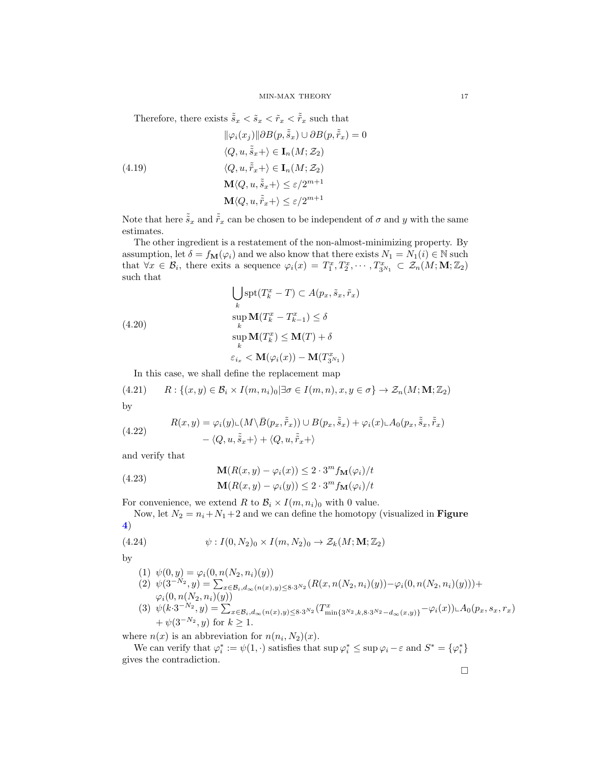Therefore, there exists  $\tilde{\tilde{s}}_x < \tilde{s}_x < \tilde{r}_x < \tilde{r}_x$  such that

(4.19)  
\n
$$
\|\varphi_i(x_j)\| \partial B(p, \tilde{\tilde{s}}_x) \cup \partial B(p, \tilde{\tilde{r}}_x) = 0
$$
\n
$$
\langle Q, u, \tilde{\tilde{s}}_x + \rangle \in \mathbf{I}_n(M; \mathcal{Z}_2)
$$
\n
$$
\langle Q, u, \tilde{\tilde{r}}_x + \rangle \in \mathbf{I}_n(M; \mathcal{Z}_2)
$$
\n
$$
\mathbf{M}\langle Q, u, \tilde{\tilde{s}}_x + \rangle \le \varepsilon/2^{m+1}
$$
\n
$$
\mathbf{M}\langle Q, u, \tilde{\tilde{r}}_x + \rangle \le \varepsilon/2^{m+1}
$$

Note that here  $\tilde{s}_x$  and  $\tilde{r}_x$  can be chosen to be independent of  $\sigma$  and y with the same estimates.

The other ingredient is a restatement of the non-almost-minimizing property. By assumption, let  $\delta = f_{\mathbf{M}}(\varphi_i)$  and we also know that there exists  $N_1 = N_1(i) \in \mathbb{N}$  such that  $\forall x \in \mathcal{B}_i$ , there exits a sequence  $\varphi_i(x) = T_1^x, T_2^x, \cdots, T_{3^{N_1}}^x \subset \mathcal{Z}_n(M; M; \mathbb{Z}_2)$ such that

(4.20)  
\n
$$
\bigcup_{k} \operatorname{spt}(T_{k}^{x} - T) \subset A(p_{x}, \tilde{s}_{x}, \tilde{r}_{x})
$$
\n
$$
\operatorname{sup}_{k} \mathbf{M}(T_{k}^{x} - T_{k-1}^{x}) \leq \delta
$$
\n
$$
\operatorname{sup}_{k} \mathbf{M}(T_{k}^{x}) \leq \mathbf{M}(T) + \delta
$$
\n
$$
\varepsilon_{i_{x}} < \mathbf{M}(\varphi_{i}(x)) - \mathbf{M}(T_{3^{N_{1}}}^{x})
$$

In this case, we shall define the replacement map

(4.21) 
$$
R: \{(x, y) \in \mathcal{B}_i \times I(m, n_i)_0 | \exists \sigma \in I(m, n), x, y \in \sigma\} \to \mathcal{Z}_n(M; \mathbf{M}; \mathbb{Z}_2)
$$

by

(4.22) 
$$
R(x, y) = \varphi_i(y) \sqcup (M \setminus \bar{B}(p_x, \tilde{\tilde{r}}_x)) \cup B(p_x, \tilde{\tilde{s}}_x) + \varphi_i(x) \sqcup A_0(p_x, \tilde{\tilde{s}}_x, \tilde{\tilde{r}}_x) - \langle Q, u, \tilde{\tilde{s}}_x + \rangle + \langle Q, u, \tilde{\tilde{r}}_x + \rangle
$$

and verify that

(4.23)  
\n
$$
\mathbf{M}(R(x,y) - \varphi_i(x)) \le 2 \cdot 3^m f_{\mathbf{M}}(\varphi_i)/t
$$
\n
$$
\mathbf{M}(R(x,y) - \varphi_i(y)) \le 2 \cdot 3^m f_{\mathbf{M}}(\varphi_i)/t
$$

For convenience, we extend R to  $\mathcal{B}_i \times I(m, n_i)_0$  with 0 value.

Now, let  $N_2 = n_i + N_1 + 2$  and we can define the homotopy (visualized in **Figure** [4](#page-17-1))

(4.24) 
$$
\psi: I(0, N_2)_0 \times I(m, N_2)_0 \to \mathcal{Z}_k(M; \mathbf{M}; \mathbb{Z}_2)
$$

by

(1)  $\psi(0, y) = \varphi_i(0, n(N_2, n_i)(y))$ 

- (2)  $\psi(3^{-N_2}, y) = \sum_{x \in \mathcal{B}_i, d_{\infty}(n(x), y) \leq 8 \cdot 3^{N_2}} (R(x, n(N_2, n_i)(y)) \varphi_i(0, n(N_2, n_i)(y))) +$  $\varphi_i(0, n(N_2, n_i)(y))$
- (3)  $\psi(k \cdot 3^{-N_2}, y) = \sum_{x \in \mathcal{B}_i, d_\infty(n(x), y) \leq 8 \cdot 3^{N_2}} (T^x_{\min\{3^{N_2}, k, 8 \cdot 3^{N_2} d_\infty(x, y)\}} \varphi_i(x)) \mathcal{A}_0(p_x, s_x, r_x)$  $+\psi(3^{-N_2},y)$  for  $k\geq 1$ .

where  $n(x)$  is an abbreviation for  $n(n_i, N_2)(x)$ .

We can verify that  $\varphi_i^* := \psi(1, \cdot)$  satisfies that  $\sup \varphi_i^* \leq \sup \varphi_i - \varepsilon$  and  $S^* = {\varphi_i^*}$ gives the contradiction.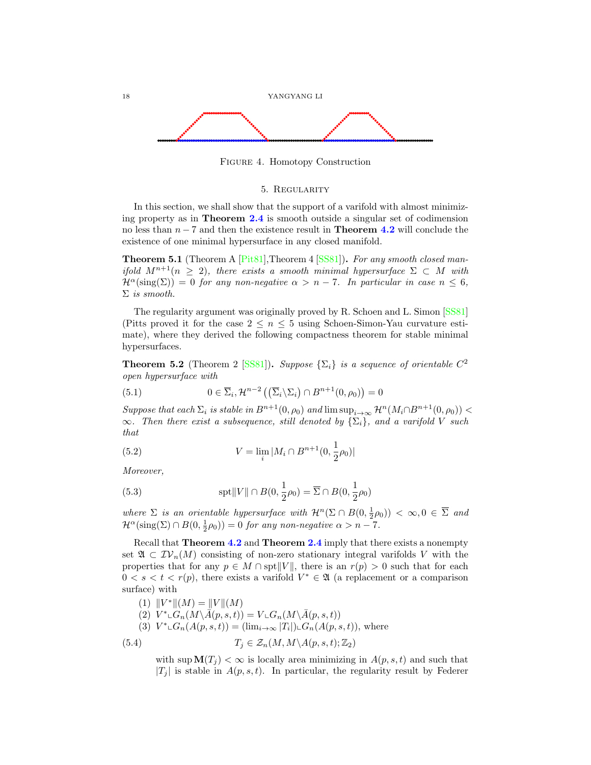

Figure 4. Homotopy Construction

## <span id="page-17-1"></span>5. Regularity

<span id="page-17-0"></span>In this section, we shall show that the support of a varifold with almost minimizing property as in Theorem [2.4](#page-6-0) is smooth outside a singular set of codimension no less than  $n - 7$  and then the existence result in **Theorem [4.2](#page-14-3)** will conclude the existence of one minimal hypersurface in any closed manifold.

Theorem 5.1 (Theorem A [\[Pit81\]](#page-23-2),Theorem 4 [\[SS81\]](#page-24-0)). For any smooth closed manifold  $M^{n+1}(n \geq 2)$ , there exists a smooth minimal hypersurface  $\Sigma \subset M$  with  $\mathcal{H}^{\alpha}(\text{sing}(\Sigma)) = 0$  for any non-negative  $\alpha > n - 7$ . In particular in case  $n \leq 6$ ,  $\Sigma$  is smooth.

The regularity argument was originally proved by R. Schoen and L. Simon [\[SS81\]](#page-24-0) (Pitts proved it for the case  $2 \leq n \leq 5$  using Schoen-Simon-Yau curvature estimate), where they derived the following compactness theorem for stable minimal hypersurfaces.

<span id="page-17-2"></span>**Theorem 5.2** (Theorem 2 [\[SS81\]](#page-24-0)). Suppose  $\{\Sigma_i\}$  is a sequence of orientable  $C^2$ open hypersurface with

(5.1) 
$$
0 \in \overline{\Sigma}_i, \mathcal{H}^{n-2} \left( \left( \overline{\Sigma}_i \backslash \Sigma_i \right) \cap B^{n+1} (0, \rho_0) \right) = 0
$$

Suppose that each  $\Sigma_i$  is stable in  $B^{n+1}(0, \rho_0)$  and  $\limsup_{i\to\infty} \mathcal{H}^n(M_i\cap B^{n+1}(0, \rho_0))$  <  $\infty$ . Then there exist a subsequence, still denoted by  $\{\Sigma_i\}$ , and a varifold V such that

(5.2) 
$$
V = \lim_{i} |M_i \cap B^{n+1}(0, \frac{1}{2}\rho_0)|
$$

Moreover,

(5.3) 
$$
\text{spt} \|V\| \cap B(0, \frac{1}{2}\rho_0) = \overline{\Sigma} \cap B(0, \frac{1}{2}\rho_0)
$$

where  $\Sigma$  is an orientable hypersurface with  $\mathcal{H}^n(\Sigma \cap B(0, \frac{1}{2}\rho_0)) < \infty, 0 \in \overline{\Sigma}$  and  $\mathcal{H}^{\alpha}(\text{sing}(\Sigma) \cap B(0, \frac{1}{2}\rho_0)) = 0$  for any non-negative  $\alpha > n - 7$ .

Recall that **Theorem [4.2](#page-14-3)** and **Theorem [2.4](#page-6-0)** imply that there exists a nonempty set  $\mathfrak{A} \subset \mathcal{IV}_n(M)$  consisting of non-zero stationary integral varifolds V with the properties that for any  $p \in M \cap \text{spt} ||V||$ , there is an  $r(p) > 0$  such that for each  $0 < s < t < r(p)$ , there exists a varifold  $V^* \in \mathfrak{A}$  (a replacement or a comparison surface) with

(1) 
$$
||V^*||(M) = ||V||(M)
$$
  
\n(2)  $V^* \llcorner G_n(M \setminus \overline{A}(p, s, t)) = V \llcorner G_n(M \setminus \overline{A}(p, s, t))$   
\n(3)  $V^* \llcorner G_n(A(p, s, t)) = (\lim_{i \to \infty} |T_i|) \llcorner G_n(A(p, s, t)),$  where  
\n(5.4)  $T_j \in \mathcal{Z}_n(M, M \setminus A(p, s, t); \mathbb{Z}_2)$ 

with sup  $\mathbf{M}(T_i) < \infty$  is locally area minimizing in  $A(p, s, t)$  and such that  $|T_i|$  is stable in  $A(p, s, t)$ . In particular, the regularity result by Federer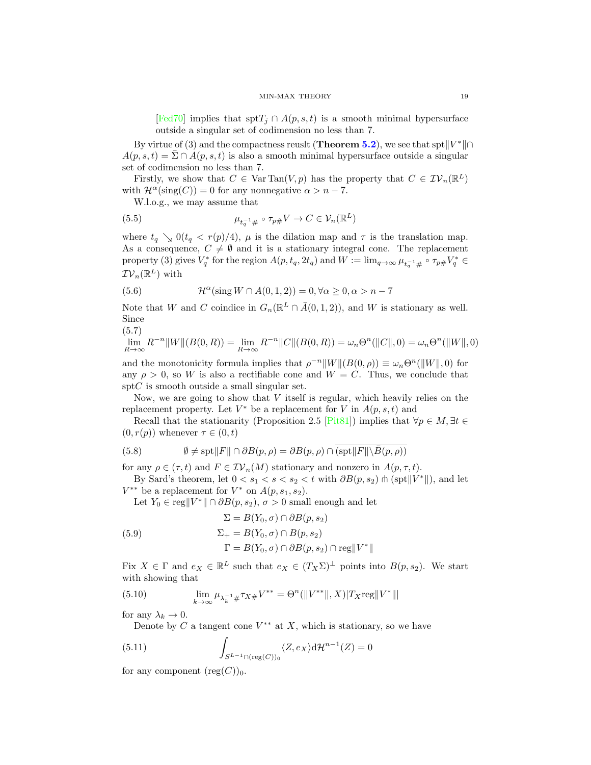[\[Fed70\]](#page-23-14) implies that spt $T_i \cap A(p, s, t)$  is a smooth minimal hypersurface outside a singular set of codimension no less than 7.

By virtue of (3) and the compactness reuslt (Theorem [5.2](#page-17-2)), we see that spt $||V^*|| \cap$  $A(p, s, t) = \sum \bigcap A(p, s, t)$  is also a smooth minimal hypersurface outside a singular set of codimension no less than 7.

Firstly, we show that  $C \in \text{Var Tan}(V, p)$  has the property that  $C \in \mathcal{IV}_n(\mathbb{R}^L)$ with  $\mathcal{H}^{\alpha}(\text{sing}(C)) = 0$  for any nonnegative  $\alpha > n - 7$ .

W.l.o.g., we may assume that

(5.5) 
$$
\mu_{t_q^{-1}\#} \circ \tau_{p\#} V \to C \in \mathcal{V}_n(\mathbb{R}^L)
$$

where  $t_q \searrow 0$ ( $t_q < r(p)/4$ ),  $\mu$  is the dilation map and  $\tau$  is the translation map. As a consequence,  $C \neq \emptyset$  and it is a stationary integral cone. The replacement property (3) gives  $V_q^*$  for the region  $A(p, t_q, 2t_q)$  and  $W := \lim_{q \to \infty} \mu_{t_q^{-1} \#} \circ \tau_{p \#} V_q^* \in$  $\mathcal{IV}_n(\mathbb{R}^L)$  with

(5.6) 
$$
\mathcal{H}^{\alpha}(\sin W \cap A(0,1,2)) = 0, \forall \alpha \geq 0, \alpha > n-7
$$

Note that W and C coindice in  $G_n(\mathbb{R}^L \cap \overline{A}(0,1,2))$ , and W is stationary as well. Since

(5.7)

$$
\lim_{R \to \infty} R^{-n} ||W||(B(0,R)) = \lim_{R \to \infty} R^{-n} ||C||(B(0,R)) = \omega_n \Theta^n(||C||,0) = \omega_n \Theta^n(||W||,0)
$$

and the monotonicity formula implies that  $\rho^{-n}||W||(B(0, \rho)) \equiv \omega_n \Theta^n(||W||, 0)$  for any  $\rho > 0$ , so W is also a rectifiable cone and  $W = C$ . Thus, we conclude that  $\text{spt}C$  is smooth outside a small singular set.

Now, we are going to show that  $V$  itself is regular, which heavily relies on the replacement property. Let  $V^*$  be a replacement for V in  $A(p, s, t)$  and

Recall that the stationarity (Proposition 2.5 [\[Pit81\]](#page-23-2)) implies that  $\forall p \in M, \exists t \in$  $(0, r(p))$  whenever  $\tau \in (0, t)$ 

<span id="page-18-1"></span>(5.8) 
$$
\emptyset \neq \text{spt} ||F|| \cap \partial B(p, \rho) = \partial B(p, \rho) \cap (\text{spt} || F|| \backslash \overline{B(p, \rho)})
$$

for any  $\rho \in (\tau, t)$  and  $F \in \mathcal{IV}_n(M)$  stationary and nonzero in  $A(p, \tau, t)$ .

By Sard's theorem, let  $0 < s_1 < s < s_2 < t$  with  $\partial B(p, s_2) \cap (\text{spt} || V^* ||)$ , and let  $V^{**}$  be a replacement for  $V^*$  on  $A(p, s_1, s_2)$ .

Let  $Y_0 \in \text{reg} || V^* || \cap \partial B(p, s_2), \sigma > 0$  small enough and let

(5.9)  
\n
$$
\Sigma = B(Y_0, \sigma) \cap \partial B(p, s_2)
$$
\n
$$
\Sigma_+ = B(Y_0, \sigma) \cap B(p, s_2)
$$
\n
$$
\Gamma = B(Y_0, \sigma) \cap \partial B(p, s_2) \cap \text{reg} ||V^*||
$$

Fix  $X \in \Gamma$  and  $e_X \in \mathbb{R}^L$  such that  $e_X \in (T_X\Sigma)^{\perp}$  points into  $B(p, s_2)$ . We start with showing that

(5.10) 
$$
\lim_{k \to \infty} \mu_{\lambda_k^{-1} \#} \tau_{X \#} V^{**} = \Theta^n(||V^{**}||, X)|T_X \text{reg}||V^*|||
$$

for any  $\lambda_k \to 0$ .

<span id="page-18-0"></span>Denote by C a tangent cone  $V^{**}$  at X, which is stationary, so we have

(5.11) 
$$
\int_{S^{L-1} \cap (\text{reg}(C))_0} \langle Z, e_X \rangle d\mathcal{H}^{n-1}(Z) = 0
$$

for any component  $(\text{reg}(C))_0$ .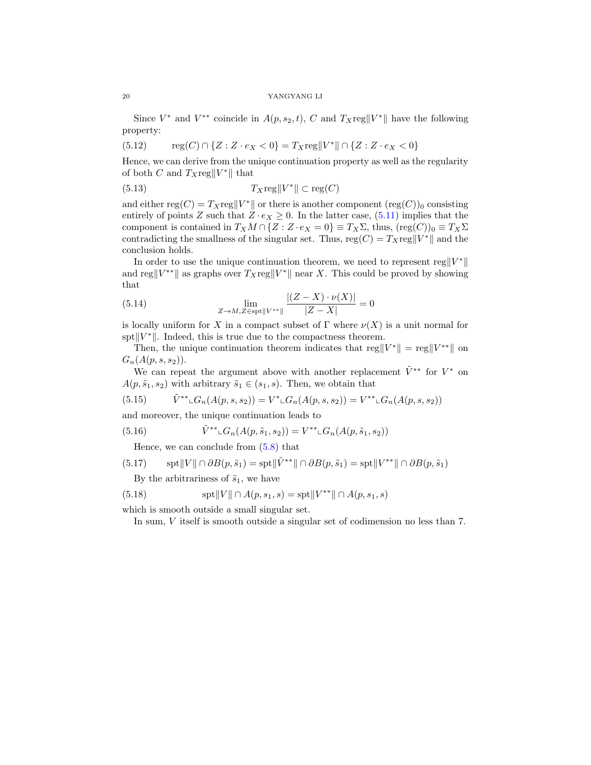Since  $V^*$  and  $V^{**}$  coincide in  $A(p, s_2, t)$ , C and  $T_X \text{reg} ||V^*||$  have the following property:

(5.12) 
$$
reg(C) \cap \{Z : Z \cdot e_X < 0\} = T_X \text{reg} \|V^*\| \cap \{Z : Z \cdot e_X < 0\}
$$

Hence, we can derive from the unique continuation property as well as the regularity of both C and  $T_X \text{reg} ||V^*||$  that

(5.13) 
$$
T_X \text{reg} \|V^*\| \subset \text{reg}(C)
$$

and either reg $(C) = T_X \text{reg} || V^* ||$  or there is another component  $(\text{reg}(C))_0$  consisting entirely of points Z such that  $Z \cdot e_X \geq 0$ . In the latter case, [\(5.11\)](#page-18-0) implies that the component is contained in  $T_XM \cap \{Z : Z \cdot e_X = 0\} \equiv T_X\Sigma$ , thus,  $(\text{reg}(C))_0 \equiv T_X\Sigma$ contradicting the smallness of the singular set. Thus,  $reg(C) = T_Xreg||V^*||$  and the conclusion holds.

In order to use the unique continuation theorem, we need to represent reg  $||V^*||$ and reg $||V^{**}||$  as graphs over  $T_X \text{reg}||V^*||$  near X. This could be proved by showing that

(5.14) 
$$
\lim_{Z \to M, Z \in \text{spt} \|V^{**}\|} \frac{|(Z - X) \cdot \nu(X)|}{|Z - X|} = 0
$$

is locally uniform for X in a compact subset of  $\Gamma$  where  $\nu(X)$  is a unit normal for spt $||V^*||$ . Indeed, this is true due to the compactness theorem.

Then, the unique continuation theorem indicates that  $\text{reg}||V^*|| = \text{reg}||V^{**}||$  on  $G_n(A(p, s, s_2)).$ 

We can repeat the argument above with another replacement  $\tilde{V}^{**}$  for  $V^*$  on  $A(p, \tilde{s}_1, s_2)$  with arbitrary  $\tilde{s}_1 \in (s_1, s)$ . Then, we obtain that

(5.15) 
$$
\tilde{V}^{**} \llcorner G_n(A(p,s,s_2)) = V^* \llcorner G_n(A(p,s,s_2)) = V^{**} \llcorner G_n(A(p,s,s_2))
$$

and moreover, the unique continuation leads to

(5.16) 
$$
\tilde{V}^{**} \llcorner G_n(A(p, \tilde{s}_1, s_2)) = V^{**} \llcorner G_n(A(p, \tilde{s}_1, s_2))
$$

Hence, we can conclude from [\(5.8\)](#page-18-1) that

$$
(5.17) \qquad \mathrm{spt} \|V\| \cap \partial B(p, \tilde{s}_1) = \mathrm{spt} \|\tilde{V}^{**}\| \cap \partial B(p, \tilde{s}_1) = \mathrm{spt} \|V^{**}\| \cap \partial B(p, \tilde{s}_1)
$$

By the arbitrariness of  $\tilde{s}_1$ , we have

(5.18) 
$$
\text{spt} ||V|| \cap A(p, s_1, s) = \text{spt} ||V^{**}|| \cap A(p, s_1, s)
$$

which is smooth outside a small singular set.

In sum, V itself is smooth outside a singular set of codimension no less than 7.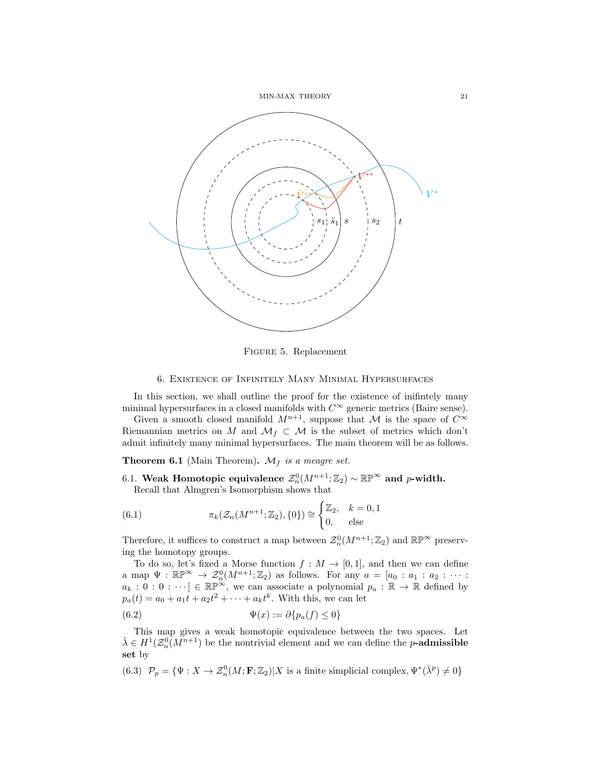

Figure 5. Replacement

### 6. Existence of Infinitely Many Minimal Hypersurfaces

<span id="page-20-0"></span>In this section, we shall outline the proof for the existence of inifintely many minimal hypersurfaces in a closed manifolds with  $C^{\infty}$  generic metrics (Baire sense).

Given a smooth closed manifold  $M^{n+1}$ , suppose that M is the space of  $C^{\infty}$ Riemannian metrics on M and  $\mathcal{M}_f \subset \mathcal{M}$  is the subset of metrics which don't admit infinitely many minimal hypersurfaces. The main theorem will be as follows.

**Theorem 6.1** (Main Theorem).  $\mathcal{M}_f$  is a meagre set.

<span id="page-20-1"></span>6.1. Weak Homotopic equivalence  $\mathcal{Z}_n^0(M^{n+1};\mathbb{Z}_2)\sim \mathbb{RP}^\infty$  and p-width. Recall that Almgren's Isomorphism shows that

(6.1) 
$$
\pi_k(\mathcal{Z}_n(M^{n+1}; \mathbb{Z}_2), \{0\}) \cong \begin{cases} \mathbb{Z}_2, & k = 0, 1 \\ 0, & \text{else} \end{cases}
$$

Therefore, it suffices to construct a map between  $\mathcal{Z}_n^0(M^{n+1};\mathbb{Z}_2)$  and  $\mathbb{RP}^{\infty}$  preserving the homotopy groups.

To do so, let's fixed a Morse function  $f : M \to [0,1]$ , and then we can define a map  $\Psi : \mathbb{RP}^{\infty} \to \mathcal{Z}_n^0(M^{n+1}; \mathbb{Z}_2)$  as follows. For any  $a = [a_0 : a_1 : a_2 : \cdots : a_n]$  $a_k : 0 : 0 : \cdots] \in \mathbb{RP}^{\infty}$ , we can associate a polynomial  $p_a : \mathbb{R} \to \mathbb{R}$  defined by  $p_a(t) = a_0 + a_1t + a_2t^2 + \cdots + a_kt^k$ . With this, we can let

(6.2) 
$$
\Psi(x) := \partial \{p_a(f) \le 0\}
$$

This map gives a weak homotopic equivalence between the two spaces. Let  $\bar{\lambda} \in H^1(\mathcal{Z}_n^0(M^{n+1})$  be the nontrivial element and we can define the *p*-admissible set by

(6.3)  $\mathcal{P}_p = {\Psi : X \to \mathcal{Z}_n^0(M; \mathbf{F}; \mathbb{Z}_2) | X \text{ is a finite simplicial complex}, \Psi^*(\bar{\lambda}^p) \neq 0}$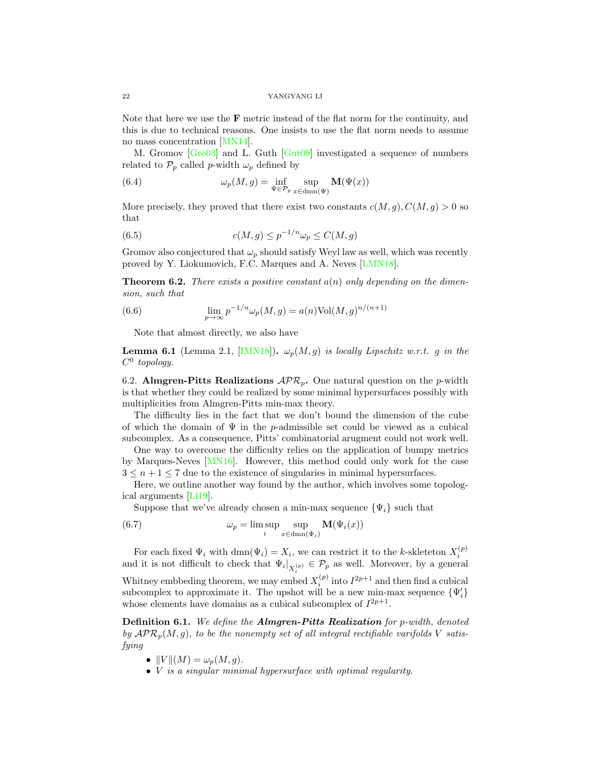Note that here we use the  $\bf{F}$  metric instead of the flat norm for the continuity, and this is due to technical reasons. One insists to use the flat norm needs to assume no mass concentration [\[MN14\]](#page-23-13).

M. Gromov [\[Gro03\]](#page-23-15) and L. Guth [\[Gut09\]](#page-23-16) investigated a sequence of numbers related to  $\mathcal{P}_p$  called p-width  $\omega_p$  defined by

(6.4) 
$$
\omega_p(M,g) = \inf_{\Psi \in \mathcal{P}_p} \sup_{x \in \text{dmn}(\Psi)} \mathbf{M}(\Psi(x))
$$

More precisely, they proved that there exist two constants  $c(M, g)$ ,  $C(M, g) > 0$  so that

(6.5) 
$$
c(M,g) \le p^{-1/n} \omega_p \le C(M,g)
$$

Gromov also conjectured that  $\omega_p$  should satisfy Weyl law as well, which was recently proved by Y. Liokumovich, F.C. Marques and A. Neves [\[LMN18\]](#page-23-4).

**Theorem 6.2.** There exists a positive constant  $a(n)$  only depending on the dimension, such that

(6.6) 
$$
\lim_{p \to \infty} p^{-1/n} \omega_p(M, g) = a(n) \text{Vol}(M, g)^{n/(n+1)}
$$

Note that almost directly, we also have

**Lemma 6.1** (Lemma 2.1, [\[IMN18\]](#page-23-3)).  $\omega_p(M, g)$  is locally Lipschitz w.r.t. g in the  $C^0$  topology.

<span id="page-21-0"></span>6.2. Almgren-Pitts Realizations  $\mathcal{APR}_p$ . One natural question on the p-width is that whether they could be realized by some minimal hypersurfaces possibly with multiplicities from Almgren-Pitts min-max theory.

The difficulty lies in the fact that we don't bound the dimension of the cube of which the domain of  $\Psi$  in the p-admissible set could be viewed as a cubical subcomplex. As a consequence, Pitts' combinatorial arugment could not work well.

One way to overcome the difficulty relies on the application of bumpy metrics by Marques-Neves [\[MN16\]](#page-23-17). However, this method could only work for the case  $3 \leq n+1 \leq 7$  due to the existence of singularies in minimal hypersurfaces.

Here, we outline another way found by the author, which involves some topological arguments [\[Li19\]](#page-23-10).

Suppose that we've already chosen a min-max sequence  $\{\Psi_i\}$  such that

(6.7) 
$$
\omega_p = \limsup_{i} \sup_{x \in \text{dmn}(\Psi_i)} \mathbf{M}(\Psi_i(x))
$$

For each fixed  $\Psi_i$  with  $\dim(\Psi_i) = X_i$ , we can restrict it to the k-skleteton  $X_i^{(p)}$ and it is not difficult to check that  $\Psi_i|_{X_i^{(p)}} \in \mathcal{P}_p$  as well. Moreover, by a general Whitney embbeding theorem, we may embed  $X_i^{(p)}$  into  $I^{2p+1}$  and then find a cubical subcomplex to approximate it. The upshot will be a new min-max sequence  $\{\Psi_i'\}$ whose elements have domains as a cubical subcomplex of  $I^{2p+1}$ .

Definition 6.1. We define the Almgren-Pitts Realization for p-width, denoted by  $\mathcal{APR}_{p}(M, g)$ , to be the nonempty set of all integral rectifiable varifolds V satisfying

- $||V||(M) = \omega_p(M, g)$ .
- *V* is a singular minimal hypersurface with optimal regularity.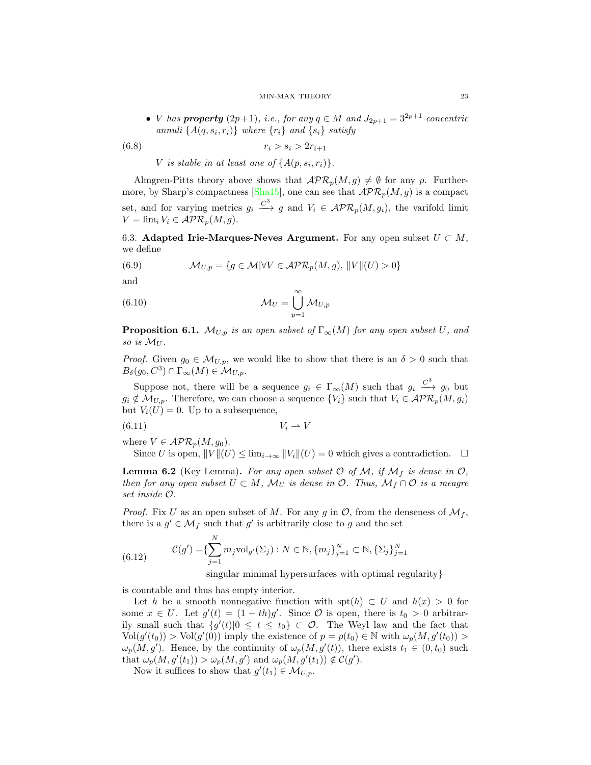• *V* has **property**  $(2p+1)$ , *i.e.*, for any  $q \in M$  and  $J_{2p+1} = 3^{2p+1}$  concentric annuli  $\{A(q, s_i, r_i)\}\$  where  $\{r_i\}$  and  $\{s_i\}$  satisfy

$$
(6.8) \t\t\t\t r_i > s_i > 2r_{i+1}
$$

V is stable in at least one of  $\{A(p, s_i, r_i)\}.$ 

Almgren-Pitts theory above shows that  $\mathcal{APR}_p(M, g) \neq \emptyset$  for any p. Further-more, by Sharp's compactness [\[Sha15\]](#page-23-18), one can see that  $\mathcal{APR}_{p}(M, g)$  is a compact set, and for varying metrics  $g_i \stackrel{C^3}{\longrightarrow} g$  and  $V_i \in \mathcal{APR}_p(M, g_i)$ , the varifold limit  $V = \lim_{i} V_i \in \mathcal{APR}_n(M, q).$ 

<span id="page-22-0"></span>6.3. Adapted Irie-Marques-Neves Argument. For any open subset  $U \subset M$ , we define

(6.9) 
$$
\mathcal{M}_{U,p} = \{ g \in \mathcal{M} | \forall V \in \mathcal{APR}_p(M,g), ||V||(U) > 0 \}
$$

and

(6.10) 
$$
\mathcal{M}_U = \bigcup_{p=1}^{\infty} \mathcal{M}_{U,p}
$$

**Proposition 6.1.**  $\mathcal{M}_{U,p}$  is an open subset of  $\Gamma_{\infty}(M)$  for any open subset U, and so is  $\mathcal{M}_U$ .

*Proof.* Given  $g_0 \in M_{U,p}$ , we would like to show that there is an  $\delta > 0$  such that  $B_{\delta}(g_0, C^3) \cap \Gamma_\infty(M) \in \mathcal{M}_{U,p}.$ 

Suppose not, there will be a sequence  $g_i \in \Gamma_\infty(M)$  such that  $g_i \stackrel{C^3}{\longrightarrow} g_0$  but  $g_i \notin \mathcal{M}_{U,p}$ . Therefore, we can choose a sequence  $\{V_i\}$  such that  $V_i \in \mathcal{APR}_p(M, g_i)$ but  $V_i(U) = 0$ . Up to a subsequence,

$$
(6.11) \t\t V_i \rightharpoonup V
$$

where  $V \in \mathcal{APR}_n(M, g_0)$ .

Since U is open,  $||V||(U) \leq \lim_{i \to \infty} ||V_i||(U) = 0$  which gives a contradiction.  $\square$ 

<span id="page-22-1"></span>**Lemma 6.2** (Key Lemma). For any open subset  $O$  of  $M$ , if  $M_f$  is dense in  $O$ , then for any open subset  $U \subset M$ ,  $\mathcal{M}_U$  is dense in  $\mathcal{O}$ . Thus,  $\mathcal{M}_f \cap \mathcal{O}$  is a meagre set inside O.

*Proof.* Fix U as an open subset of M. For any g in  $\mathcal{O}$ , from the denseness of  $\mathcal{M}_f$ , there is a  $g' \in \mathcal{M}_f$  such that  $g'$  is arbitrarily close to g and the set

(6.12) 
$$
\mathcal{C}(g') = \{\sum_{j=1}^{N} m_j \text{vol}_{g'}(\Sigma_j) : N \in \mathbb{N}, \{m_j\}_{j=1}^{N} \subset \mathbb{N}, \{\Sigma_j\}_{j=1}^{N}
$$

singular minimal hypersurfaces with optimal regularity}

is countable and thus has empty interior.

Let h be a smooth nonnegative function with spt(h)  $\subset U$  and  $h(x) > 0$  for some  $x \in U$ . Let  $g'(t) = (1 + th)g'$ . Since  $\mathcal O$  is open, there is  $t_0 > 0$  arbitrarily small such that  $\{g'(t)|0 \le t \le t_0\} \subset \mathcal{O}$ . The Weyl law and the fact that  $\text{Vol}(g'(t_0)) > \text{Vol}(g'(0))$  imply the existence of  $p = p(t_0) \in \mathbb{N}$  with  $\omega_p(M, g'(t_0)) >$  $\omega_p(M,g')$ . Hence, by the continuity of  $\omega_p(M,g'(t))$ , there exists  $t_1 \in (0,t_0)$  such that  $\omega_p(M, g'(t_1)) > \omega_p(M, g')$  and  $\omega_p(M, g'(t_1)) \notin C(g')$ .

Now it suffices to show that  $g'(t_1) \in \mathcal{M}_{U,p}$ .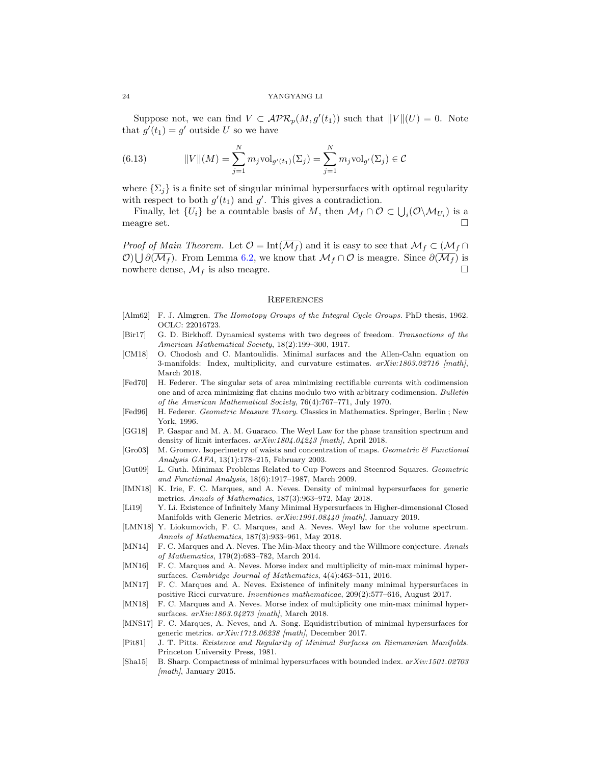Suppose not, we can find  $V \subset \mathcal{APR}_p(M, g'(t_1))$  such that  $||V||(U) = 0$ . Note that  $g'(t_1) = g'$  outside U so we have

(6.13) 
$$
||V||(M) = \sum_{j=1}^{N} m_j \text{vol}_{g'(t_1)}(\Sigma_j) = \sum_{j=1}^{N} m_j \text{vol}_{g'}(\Sigma_j) \in C
$$

where  $\{\Sigma_i\}$  is a finite set of singular minimal hypersurfaces with optimal regularity with respect to both  $g'(t_1)$  and  $g'$ . This gives a contradiction.

Finally, let  $\{U_i\}$  be a countable basis of M, then  $\mathcal{M}_f \cap \mathcal{O} \subset \bigcup_i (\mathcal{O} \backslash \mathcal{M}_{U_i})$  is a meagre set.

*Proof of Main Theorem.* Let  $\mathcal{O} = \text{Int}(\overline{\mathcal{M}_f})$  and it is easy to see that  $\mathcal{M}_f \subset (\mathcal{M}_f \cap$  $\mathcal{O}(\bigcup \partial(\overline{\mathcal{M}_f})$ . From Lemma [6.2,](#page-22-1) we know that  $\mathcal{M}_f \cap \mathcal{O}$  is meagre. Since  $\partial(\overline{\mathcal{M}_f})$  is nowhere dense,  $\mathcal{M}_f$  is also meagre.

#### <span id="page-23-0"></span>**REFERENCES**

- <span id="page-23-12"></span>[Alm62] F. J. Almgren. The Homotopy Groups of the Integral Cycle Groups. PhD thesis, 1962. OCLC: 22016723.
- <span id="page-23-1"></span>[Bir17] G. D. Birkhoff. Dynamical systems with two degrees of freedom. Transactions of the American Mathematical Society, 18(2):199–300, 1917.
- <span id="page-23-9"></span>[CM18] O. Chodosh and C. Mantoulidis. Minimal surfaces and the Allen-Cahn equation on 3-manifolds: Index, multiplicity, and curvature estimates.  $arXiv:1803.02716$  [math], March 2018.
- <span id="page-23-14"></span>[Fed70] H. Federer. The singular sets of area minimizing rectifiable currents with codimension one and of area minimizing flat chains modulo two with arbitrary codimension. Bulletin of the American Mathematical Society, 76(4):767–771, July 1970.
- <span id="page-23-11"></span>[Fed96] H. Federer. Geometric Measure Theory. Classics in Mathematics. Springer, Berlin ; New York, 1996.
- <span id="page-23-8"></span>[GG18] P. Gaspar and M. A. M. Guaraco. The Weyl Law for the phase transition spectrum and density of limit interfaces. arXiv:1804.04243 [math], April 2018.
- <span id="page-23-15"></span>[Gro03] M. Gromov. Isoperimetry of waists and concentration of maps. Geometric & Functional Analysis GAFA, 13(1):178–215, February 2003.
- <span id="page-23-16"></span>[Gut09] L. Guth. Minimax Problems Related to Cup Powers and Steenrod Squares. Geometric and Functional Analysis, 18(6):1917–1987, March 2009.
- <span id="page-23-3"></span>[IMN18] K. Irie, F. C. Marques, and A. Neves. Density of minimal hypersurfaces for generic metrics. Annals of Mathematics, 187(3):963–972, May 2018.
- <span id="page-23-10"></span>[Li19] Y. Li. Existence of Infinitely Many Minimal Hypersurfaces in Higher-dimensional Closed Manifolds with Generic Metrics.  $arXiv:1901.08440$  [math], January 2019.
- <span id="page-23-4"></span>[LMN18] Y. Liokumovich, F. C. Marques, and A. Neves. Weyl law for the volume spectrum. Annals of Mathematics, 187(3):933–961, May 2018.
- <span id="page-23-13"></span>[MN14] F. C. Marques and A. Neves. The Min-Max theory and the Willmore conjecture. Annals of Mathematics, 179(2):683–782, March 2014.
- <span id="page-23-17"></span>[MN16] F. C. Marques and A. Neves. Morse index and multiplicity of min-max minimal hypersurfaces. Cambridge Journal of Mathematics, 4(4):463–511, 2016.
- <span id="page-23-6"></span>[MN17] F. C. Marques and A. Neves. Existence of infinitely many minimal hypersurfaces in positive Ricci curvature. Inventiones mathematicae, 209(2):577–616, August 2017.
- <span id="page-23-7"></span>[MN18] F. C. Marques and A. Neves. Morse index of multiplicity one min-max minimal hypersurfaces. arXiv:1803.04273 [math], March 2018.
- <span id="page-23-5"></span>[MNS17] F. C. Marques, A. Neves, and A. Song. Equidistribution of minimal hypersurfaces for generic metrics. arXiv:1712.06238 [math], December 2017.
- <span id="page-23-2"></span>[Pit81] J. T. Pitts. Existence and Regularity of Minimal Surfaces on Riemannian Manifolds. Princeton University Press, 1981.
- <span id="page-23-18"></span>[Sha15] B. Sharp. Compactness of minimal hypersurfaces with bounded index. arXiv:1501.02703  $\{math, January 2015. \}$